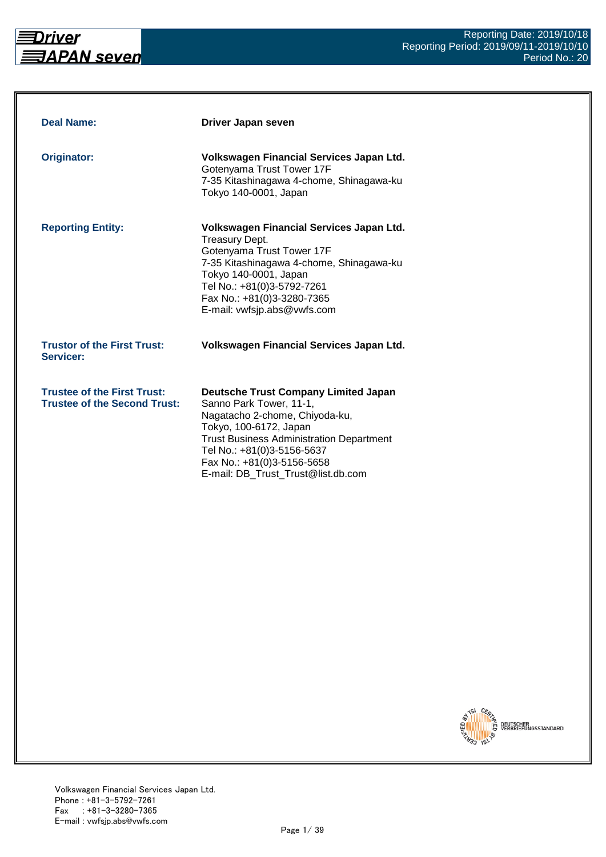

| <b>Deal Name:</b>                                                         | Driver Japan seven                                                                                                                                                                                                                                                                      |
|---------------------------------------------------------------------------|-----------------------------------------------------------------------------------------------------------------------------------------------------------------------------------------------------------------------------------------------------------------------------------------|
| <b>Originator:</b>                                                        | Volkswagen Financial Services Japan Ltd.<br>Gotenyama Trust Tower 17F<br>7-35 Kitashinagawa 4-chome, Shinagawa-ku<br>Tokyo 140-0001, Japan                                                                                                                                              |
| <b>Reporting Entity:</b>                                                  | Volkswagen Financial Services Japan Ltd.<br><b>Treasury Dept.</b><br>Gotenyama Trust Tower 17F<br>7-35 Kitashinagawa 4-chome, Shinagawa-ku<br>Tokyo 140-0001, Japan<br>Tel No.: +81(0)3-5792-7261<br>Fax No.: +81(0)3-3280-7365<br>E-mail: vwfsjp.abs@vwfs.com                          |
| <b>Trustor of the First Trust:</b><br>Servicer:                           | Volkswagen Financial Services Japan Ltd.                                                                                                                                                                                                                                                |
| <b>Trustee of the First Trust:</b><br><b>Trustee of the Second Trust:</b> | <b>Deutsche Trust Company Limited Japan</b><br>Sanno Park Tower, 11-1,<br>Nagatacho 2-chome, Chiyoda-ku,<br>Tokyo, 100-6172, Japan<br><b>Trust Business Administration Department</b><br>Tel No.: +81(0)3-5156-5637<br>Fax No.: +81(0)3-5156-5658<br>E-mail: DB_Trust_Trust@list.db.com |

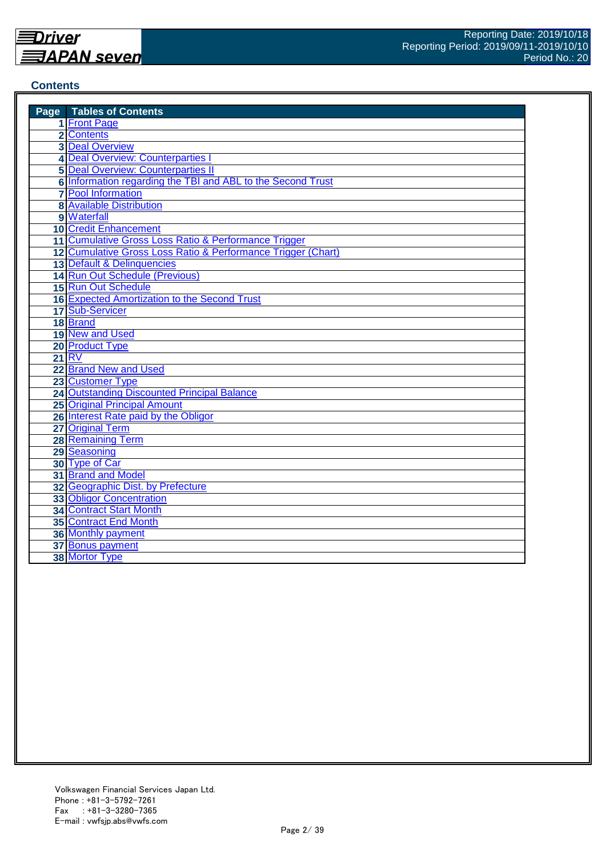#### **Contents**

| <b>Page</b> Tables of Contents                               |
|--------------------------------------------------------------|
| 1 Front Page                                                 |
| 2 Contents                                                   |
| <b>3 Deal Overview</b>                                       |
| 4 Deal Overview: Counterparties                              |
| <b>5 Deal Overview: Counterparties II</b>                    |
| 6 Information regarding the TBI and ABL to the Second Trust  |
| <b>7</b> Pool Information                                    |
| <b>8 Available Distribution</b>                              |
| 9 Waterfall                                                  |
| <b>10 Credit Enhancement</b>                                 |
| 11 Cumulative Gross Loss Ratio & Performance Trigger         |
| 12 Cumulative Gross Loss Ratio & Performance Trigger (Chart) |
| 13 Default & Delinquencies                                   |
| 14 Run Out Schedule (Previous)                               |
| 15 Run Out Schedule                                          |
| <b>16 Expected Amortization to the Second Trust</b>          |
| 17 Sub-Servicer                                              |
| 18 Brand                                                     |
| 19 New and Used                                              |
| 20 Product Type                                              |
| $21$ RV                                                      |
| 22 Brand New and Used                                        |
| 23 Customer Type                                             |
| <b>24 Outstanding Discounted Principal Balance</b>           |
| <b>25 Original Principal Amount</b>                          |
| 26 Interest Rate paid by the Obligor                         |
| 27 Original Term                                             |
| 28 Remaining Term                                            |
| 29 Seasoning                                                 |
| 30 Type of Car                                               |
| 31 Brand and Model                                           |
| 32 Geographic Dist. by Prefecture                            |
| 33 Obligor Concentration                                     |
| <b>34 Contract Start Month</b>                               |
| <b>35 Contract End Month</b>                                 |
| <b>36 Monthly payment</b>                                    |
| 37 Bonus payment                                             |
| 38 Mortor Type                                               |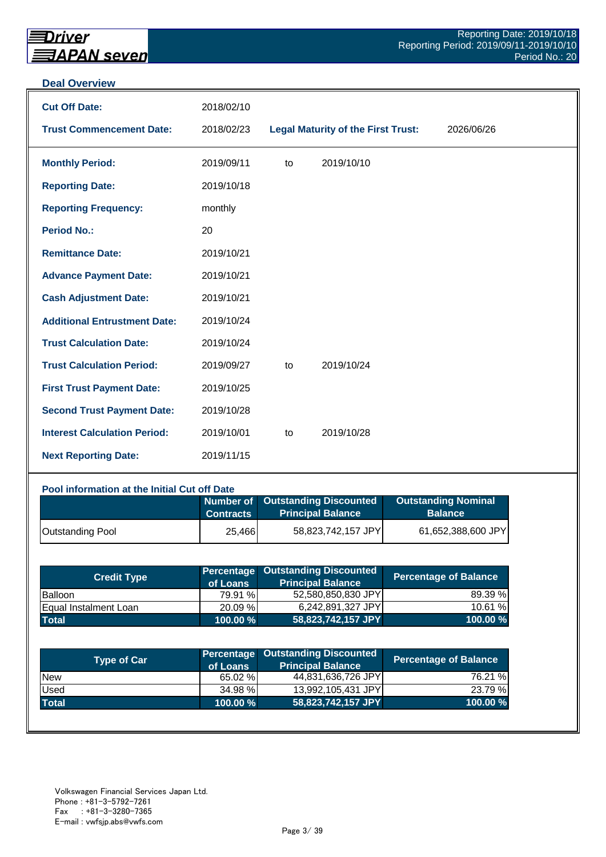#### **Deal Overview**

| <b>Cut Off Date:</b>                | 2018/02/10 |    |                                           |            |
|-------------------------------------|------------|----|-------------------------------------------|------------|
| <b>Trust Commencement Date:</b>     | 2018/02/23 |    | <b>Legal Maturity of the First Trust:</b> | 2026/06/26 |
| <b>Monthly Period:</b>              | 2019/09/11 | to | 2019/10/10                                |            |
| <b>Reporting Date:</b>              | 2019/10/18 |    |                                           |            |
| <b>Reporting Frequency:</b>         | monthly    |    |                                           |            |
| <b>Period No.:</b>                  | 20         |    |                                           |            |
| <b>Remittance Date:</b>             | 2019/10/21 |    |                                           |            |
| <b>Advance Payment Date:</b>        | 2019/10/21 |    |                                           |            |
| <b>Cash Adjustment Date:</b>        | 2019/10/21 |    |                                           |            |
| <b>Additional Entrustment Date:</b> | 2019/10/24 |    |                                           |            |
| <b>Trust Calculation Date:</b>      | 2019/10/24 |    |                                           |            |
| <b>Trust Calculation Period:</b>    | 2019/09/27 | to | 2019/10/24                                |            |
| <b>First Trust Payment Date:</b>    | 2019/10/25 |    |                                           |            |
| <b>Second Trust Payment Date:</b>   | 2019/10/28 |    |                                           |            |
| <b>Interest Calculation Period:</b> | 2019/10/01 | to | 2019/10/28                                |            |
| <b>Next Reporting Date:</b>         | 2019/11/15 |    |                                           |            |

| Pool information at the Initial Cut off Date |                     |  |
|----------------------------------------------|---------------------|--|
|                                              | Number of Outstandi |  |

|                         | <b>Contracts</b> | Number of Outstanding Discounted<br><b>Principal Balance</b> | <b>Outstanding Nominal</b><br><b>Balance</b> |
|-------------------------|------------------|--------------------------------------------------------------|----------------------------------------------|
| <b>Outstanding Pool</b> | 25,466           | 58,823,742,157 JPY                                           | 61,652,388,600 JPY                           |

| <b>Credit Type</b>    | of Loans    | <b>Percentage Outstanding Discounted</b><br><b>Principal Balance</b> | <b>Percentage of Balance</b> |
|-----------------------|-------------|----------------------------------------------------------------------|------------------------------|
| <b>Balloon</b>        | 79.91 %     | 52,580,850,830 JPY                                                   | 89.39 %                      |
| Equal Instalment Loan | 20.09 %     | 6,242,891,327 JPY                                                    | 10.61 %                      |
| <b>Total</b>          | $100.00 \%$ | 58,823,742,157 JPY                                                   | 100.00 %                     |

| <b>Type of Car</b> | of Loans | <b>Percentage Outstanding Discounted</b><br><b>Principal Balance</b> | <b>Percentage of Balance</b> |
|--------------------|----------|----------------------------------------------------------------------|------------------------------|
| <b>New</b>         | 65.02 %  | 44,831,636,726 JPY                                                   | 76.21 %                      |
| Used               | 34.98 %  | 13,992,105,431 JPY                                                   | 23.79 %                      |
| <b>Total</b>       | 100.00 % | 58,823,742,157 JPY                                                   | 100.00%                      |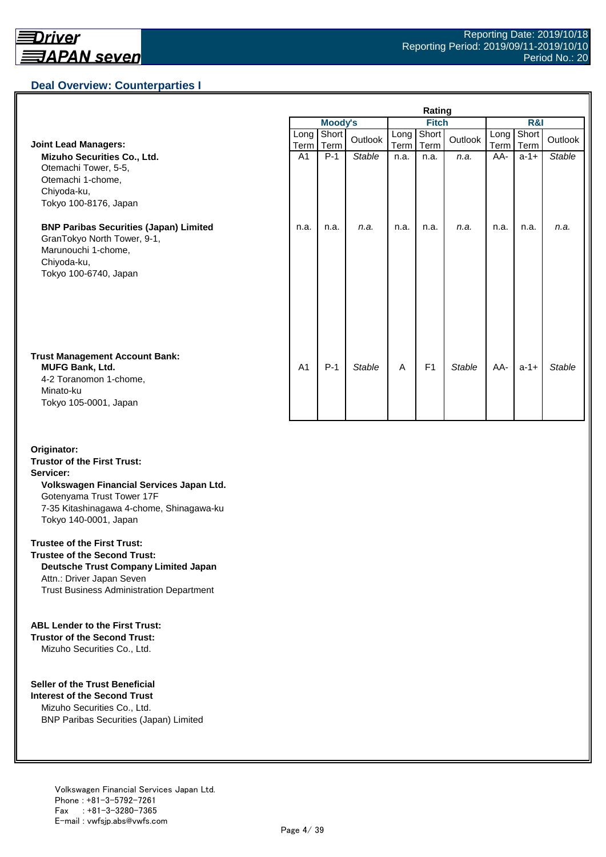## **Deal Overview: Counterparties I**

|                                                                                                                                             | Rating         |                |               |              |                |               |              |               |               |
|---------------------------------------------------------------------------------------------------------------------------------------------|----------------|----------------|---------------|--------------|----------------|---------------|--------------|---------------|---------------|
|                                                                                                                                             |                | <b>Moody's</b> |               | <b>Fitch</b> |                |               | R&I          |               |               |
| <b>Joint Lead Managers:</b>                                                                                                                 | Long<br>Term   | Short<br>Term  | Outlook       | Long<br>Term | Short<br>Term  | Outlook       | Long<br>Term | Short<br>Term | Outlook       |
| Mizuho Securities Co., Ltd.<br>Otemachi Tower, 5-5,<br>Otemachi 1-chome,<br>Chiyoda-ku,<br>Tokyo 100-8176, Japan                            | A <sub>1</sub> | $P-1$          | <b>Stable</b> | n.a.         | n.a.           | n.a.          | AA-          | $a-1+$        | <b>Stable</b> |
| <b>BNP Paribas Securities (Japan) Limited</b><br>GranTokyo North Tower, 9-1,<br>Marunouchi 1-chome,<br>Chiyoda-ku,<br>Tokyo 100-6740, Japan | n.a.           | n.a.           | n.a.          | n.a.         | n.a.           | n.a.          | n.a.         | n.a.          | n.a.          |
| <b>Trust Management Account Bank:</b><br><b>MUFG Bank, Ltd.</b><br>4-2 Toranomon 1-chome,<br>Minato-ku<br>Tokyo 105-0001, Japan             | A <sub>1</sub> | $P-1$          | <b>Stable</b> | A            | F <sub>1</sub> | <b>Stable</b> | AA-          | $a-1+$        | <b>Stable</b> |

#### **Originator: Trustor of the First Trust: Servicer: Volkswagen Financial Services Japan Ltd.** Gotenyama Trust Tower 17F 7-35 Kitashinagawa 4-chome, Shinagawa-ku Tokyo 140-0001, Japan

#### **Trustee of the First Trust:**

**Trustee of the Second Trust: Deutsche Trust Company Limited Japan** Attn.: Driver Japan Seven Trust Business Administration Department

#### **ABL Lender to the First Trust:**

**Trustor of the Second Trust:** Mizuho Securities Co., Ltd.

#### **Seller of the Trust Beneficial**

**Interest of the Second Trust** Mizuho Securities Co., Ltd. BNP Paribas Securities (Japan) Limited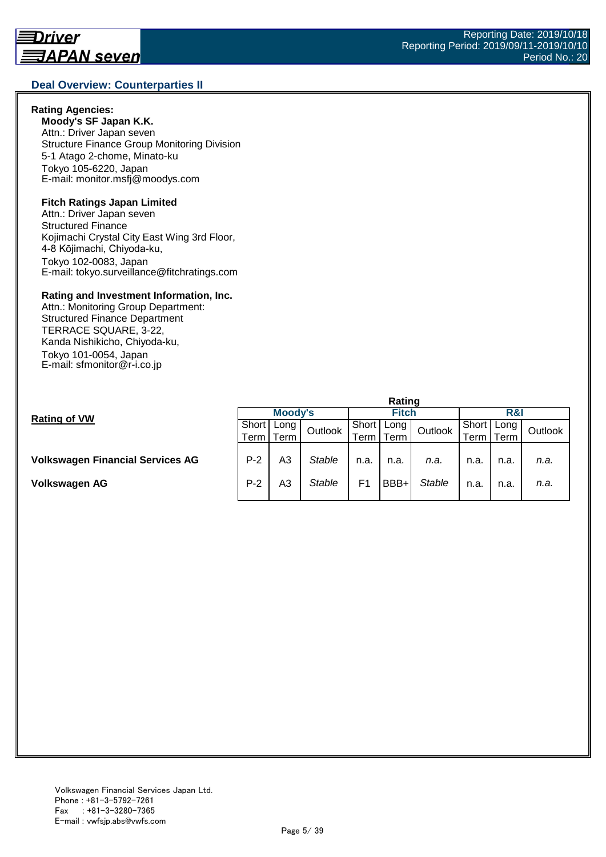#### **Deal Overview: Counterparties II**

#### **Rating Agencies:**

**Moody's SF Japan K.K.** Attn.: Driver Japan seven Structure Finance Group Monitoring Division 5-1 Atago 2-chome, Minato-ku Tokyo 105-6220, Japan E-mail: monitor.msfj@moodys.com

#### **Fitch Ratings Japan Limited**

Attn.: Driver Japan seven Structured Finance Kojimachi Crystal City East Wing 3rd Floor, 4-8 Kōjimachi, Chiyoda-ku, Tokyo 102-0083, Japan E-mail: tokyo.surveillance@fitchratings.com

#### **Rating and Investment Information, Inc.**

Attn.: Monitoring Group Department: Structured Finance Department TERRACE SQUARE, 3-22, Kanda Nishikicho, Chiyoda-ku, Tokyo 101-0054, Japan E-mail: sfmonitor@r-i.co.jp

|                                         | Rating  |        |               |               |      |               |       |      |         |  |  |
|-----------------------------------------|---------|--------|---------------|---------------|------|---------------|-------|------|---------|--|--|
| <b>Rating of VW</b>                     | Moody's |        |               | <b>Fitch</b>  |      |               | R&I   |      |         |  |  |
|                                         | Short   | Long I | Outlook       | Short         | Long | Outlook       | Short | Long | Outlook |  |  |
|                                         | Term    | Term   |               | Term<br>Term. |      |               |       | Term |         |  |  |
|                                         |         |        |               |               |      |               |       |      |         |  |  |
| <b>Volkswagen Financial Services AG</b> | $P-2$   | A3     | <b>Stable</b> | n.a.          | n.a. | n.a.          | n.a.  | n.a. | n.a.    |  |  |
|                                         |         |        |               |               |      |               |       |      |         |  |  |
| Volkswagen AG                           | $P-2$   | A3     | Stable        | F1            | BBB+ | <b>Stable</b> | n.a.  | n.a. | n.a.    |  |  |
|                                         |         |        |               |               |      |               |       |      |         |  |  |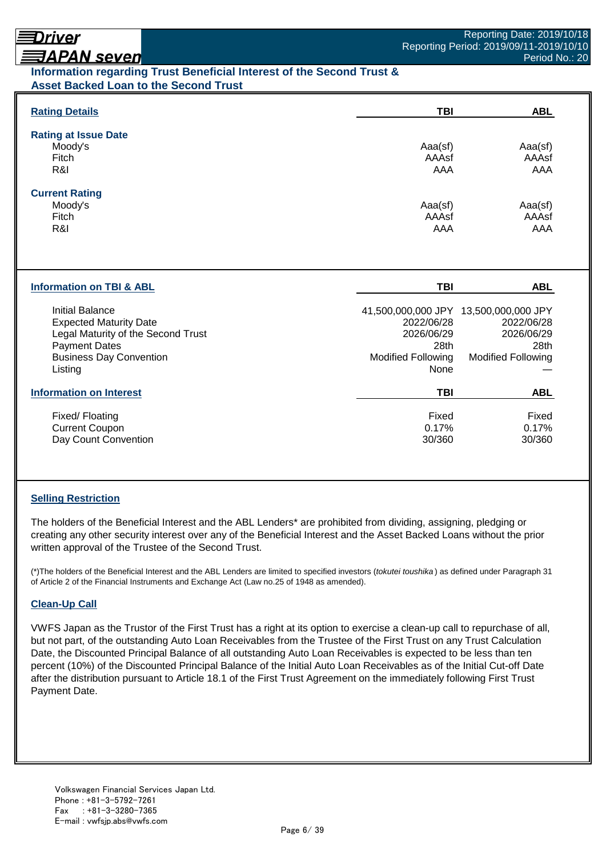# Driver

## **ヨAPAN seven**

## **Information regarding Trust Beneficial Interest of the Second Trust & Asset Backed Loan to the Second Trust**

| <b>Rating Details</b>               | <b>TBI</b>                | <b>ABL</b>                            |
|-------------------------------------|---------------------------|---------------------------------------|
| <b>Rating at Issue Date</b>         |                           |                                       |
| Moody's<br>Fitch                    | Aaa(sf)<br>AAAsf          | Aaa(sf)<br>AAAsf                      |
| R&I                                 | AAA                       | <b>AAA</b>                            |
|                                     |                           |                                       |
| <b>Current Rating</b>               |                           |                                       |
| Moody's                             | Aaa(sf)                   | Aaa(sf)                               |
| Fitch                               | AAAsf                     | AAAsf                                 |
| R&I                                 | AAA                       | AAA                                   |
| <b>Information on TBI &amp; ABL</b> | <b>TBI</b>                | <b>ABL</b>                            |
| <b>Initial Balance</b>              |                           | 41,500,000,000 JPY 13,500,000,000 JPY |
| <b>Expected Maturity Date</b>       | 2022/06/28                | 2022/06/28                            |
| Legal Maturity of the Second Trust  | 2026/06/29                | 2026/06/29                            |
| <b>Payment Dates</b>                | 28th                      | 28th                                  |
| <b>Business Day Convention</b>      | <b>Modified Following</b> | <b>Modified Following</b>             |
| Listing                             | <b>None</b>               |                                       |
| <b>Information on Interest</b>      | TBI                       | <b>ABL</b>                            |
| Fixed/Floating                      | Fixed                     | Fixed                                 |
| <b>Current Coupon</b>               | 0.17%                     | 0.17%                                 |
| Day Count Convention                | 30/360                    | 30/360                                |

## **Selling Restriction**

The holders of the Beneficial Interest and the ABL Lenders\* are prohibited from dividing, assigning, pledging or creating any other security interest over any of the Beneficial Interest and the Asset Backed Loans without the prior written approval of the Trustee of the Second Trust.

(\*)The holders of the Beneficial Interest and the ABL Lenders are limited to specified investors (*tokutei toushika* ) as defined under Paragraph 31 of Article 2 of the Financial Instruments and Exchange Act (Law no.25 of 1948 as amended).

#### **Clean-Up Call**

VWFS Japan as the Trustor of the First Trust has a right at its option to exercise a clean-up call to repurchase of all, but not part, of the outstanding Auto Loan Receivables from the Trustee of the First Trust on any Trust Calculation Date, the Discounted Principal Balance of all outstanding Auto Loan Receivables is expected to be less than ten percent (10%) of the Discounted Principal Balance of the Initial Auto Loan Receivables as of the Initial Cut-off Date after the distribution pursuant to Article 18.1 of the First Trust Agreement on the immediately following First Trust Payment Date.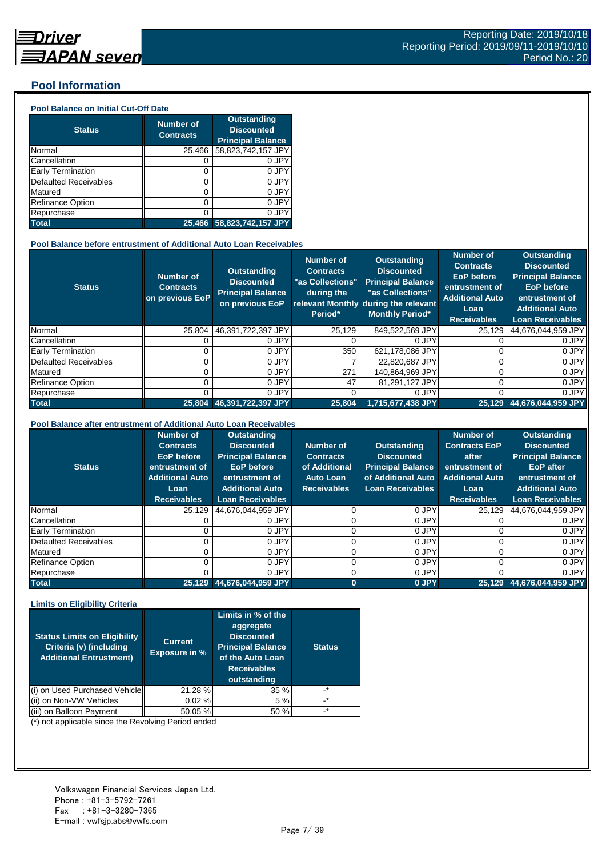### **Pool Information**

#### **Pool Balance on Initial Cut-Off Date**

| <b>Status</b>                | <b>Number of</b><br><b>Contracts</b> | <b>Outstanding</b><br><b>Discounted</b><br><b>Principal Balance</b> |
|------------------------------|--------------------------------------|---------------------------------------------------------------------|
| Normal                       | 25,466                               | 58,823,742,157 JPY                                                  |
| Cancellation                 | O                                    | 0 JPY                                                               |
| Early Termination            | 0                                    | 0 JPY                                                               |
| <b>Defaulted Receivables</b> | 0                                    | 0 JPY                                                               |
| Matured                      | 0                                    | 0 JPY                                                               |
| <b>Refinance Option</b>      | 0                                    | 0 JPY                                                               |
| Repurchase                   | ი                                    | 0 JPY                                                               |
| <b>Total</b>                 | 25.466                               | 58,823,742,157 JPY                                                  |

#### **Pool Balance before entrustment of Additional Auto Loan Receivables**

| <b>Status</b>                | <b>Number of</b><br><b>Contracts</b><br>on previous EoP | <b>Outstanding</b><br><b>Discounted</b><br><b>Principal Balance</b><br>on previous EoP | <b>Number of</b><br><b>Contracts</b><br>"as Collections"<br>during the<br>Period* | <b>Outstanding</b><br><b>Discounted</b><br><b>Principal Balance</b><br>"as Collections"<br>relevant Monthly during the relevant<br><b>Monthly Period*</b> | Number of<br><b>Contracts</b><br><b>EoP</b> before<br>entrustment of<br><b>Additional Auto</b><br>Loan<br><b>Receivables</b> | <b>Outstanding</b><br><b>Discounted</b><br><b>Principal Balance</b><br><b>EoP</b> before<br>entrustment of<br><b>Additional Auto</b><br><b>Loan Receivables</b> |
|------------------------------|---------------------------------------------------------|----------------------------------------------------------------------------------------|-----------------------------------------------------------------------------------|-----------------------------------------------------------------------------------------------------------------------------------------------------------|------------------------------------------------------------------------------------------------------------------------------|-----------------------------------------------------------------------------------------------------------------------------------------------------------------|
| Normal                       | 25.804                                                  | 46.391.722.397 JPY                                                                     | 25.129                                                                            | 849,522,569 JPY                                                                                                                                           | 25,129                                                                                                                       | 44.676.044.959 JPY                                                                                                                                              |
| Cancellation                 |                                                         | 0 JPY                                                                                  |                                                                                   | 0 JPY                                                                                                                                                     |                                                                                                                              | 0 JPY                                                                                                                                                           |
| <b>Early Termination</b>     |                                                         | 0 JPY                                                                                  | 350                                                                               | 621,178,086 JPY                                                                                                                                           |                                                                                                                              | 0 JPY                                                                                                                                                           |
| <b>Defaulted Receivables</b> |                                                         | 0 JPY                                                                                  |                                                                                   | 22,820,687 JPY                                                                                                                                            |                                                                                                                              | 0 JPY                                                                                                                                                           |
| Matured                      |                                                         | 0 JPY                                                                                  | 271                                                                               | 140,864,969 JPY                                                                                                                                           |                                                                                                                              | 0 JPY                                                                                                                                                           |
| <b>Refinance Option</b>      |                                                         | 0 JPY                                                                                  | 47                                                                                | 81.291.127 JPY                                                                                                                                            |                                                                                                                              | 0 JPY                                                                                                                                                           |
| Repurchase                   |                                                         | 0 JPY                                                                                  | $\Omega$                                                                          | 0 JPY                                                                                                                                                     |                                                                                                                              | 0 JPY                                                                                                                                                           |
| <b>Total</b>                 | 25.804                                                  | 46,391,722,397 JPY                                                                     | 25,804                                                                            | 1,715,677,438 JPY                                                                                                                                         | 25,129                                                                                                                       | 44,676,044,959 JPY                                                                                                                                              |

#### **Pool Balance after entrustment of Additional Auto Loan Receivables**

| <b>Status</b>            | <b>Number of</b><br><b>Contracts</b><br>EoP before<br>entrustment of<br><b>Additional Auto</b><br>Loan<br><b>Receivables</b> | <b>Outstanding</b><br><b>Discounted</b><br><b>Principal Balance</b><br><b>EoP</b> before<br>entrustment of<br><b>Additional Auto</b><br><b>Loan Receivables</b> | Number of<br><b>Contracts</b><br>of Additional<br><b>Auto Loan</b><br><b>Receivables</b> | <b>Outstanding</b><br><b>Discounted</b><br><b>Principal Balance</b><br>of Additional Auto<br><b>Loan Receivables</b> | <b>Number of</b><br><b>Contracts EoP</b><br>after<br>entrustment of<br><b>Additional Auto</b><br>Loan<br><b>Receivables</b> | <b>Outstanding</b><br><b>Discounted</b><br><b>Principal Balance</b><br><b>EoP</b> after<br>entrustment of<br><b>Additional Auto</b><br><b>Loan Receivables</b> |
|--------------------------|------------------------------------------------------------------------------------------------------------------------------|-----------------------------------------------------------------------------------------------------------------------------------------------------------------|------------------------------------------------------------------------------------------|----------------------------------------------------------------------------------------------------------------------|-----------------------------------------------------------------------------------------------------------------------------|----------------------------------------------------------------------------------------------------------------------------------------------------------------|
| Normal                   | 25.129                                                                                                                       | 44.676.044.959 JPY                                                                                                                                              |                                                                                          | 0 JPY                                                                                                                | 25.129                                                                                                                      | 44.676.044.959 JPY                                                                                                                                             |
| Cancellation             |                                                                                                                              | 0 JPY                                                                                                                                                           |                                                                                          | 0 JPY                                                                                                                |                                                                                                                             | 0 JPY                                                                                                                                                          |
| <b>Early Termination</b> |                                                                                                                              | 0 JPY                                                                                                                                                           |                                                                                          | 0 JPY                                                                                                                |                                                                                                                             | 0 JPY                                                                                                                                                          |
| Defaulted Receivables    |                                                                                                                              | 0 JPY                                                                                                                                                           |                                                                                          | 0 JPY                                                                                                                |                                                                                                                             | 0 JPY                                                                                                                                                          |
| Matured                  |                                                                                                                              | 0 JPY                                                                                                                                                           |                                                                                          | 0 JPY                                                                                                                |                                                                                                                             | 0 JPY                                                                                                                                                          |
| <b>Refinance Option</b>  |                                                                                                                              | 0 JPY                                                                                                                                                           |                                                                                          | 0 JPY                                                                                                                |                                                                                                                             | 0 JPY                                                                                                                                                          |
| Repurchase               |                                                                                                                              | 0 JPY                                                                                                                                                           |                                                                                          | 0 JPY                                                                                                                |                                                                                                                             | 0 JPY                                                                                                                                                          |
| <b>Total</b>             | 25.129                                                                                                                       | 44,676,044,959 JPY                                                                                                                                              | $\bf{0}$                                                                                 | 0 JPY                                                                                                                |                                                                                                                             | 25,129 44,676,044,959 JPY                                                                                                                                      |

#### **Limits on Eligibility Criteria**

| <b>Status Limits on Eligibility</b><br>Criteria (v) (including<br><b>Additional Entrustment)</b> | <b>Current</b><br><b>Exposure in %</b> | Limits in % of the<br>aggregate<br><b>Discounted</b><br><b>Principal Balance</b><br>of the Auto Loan<br><b>Receivables</b><br>outstanding | <b>Status</b> |
|--------------------------------------------------------------------------------------------------|----------------------------------------|-------------------------------------------------------------------------------------------------------------------------------------------|---------------|
| on Used Purchased Vehicle                                                                        | 21.28 %                                | 35 %                                                                                                                                      | _*            |
| on Non-VW Vehicles                                                                               | 0.02%                                  | 5 %                                                                                                                                       | $\cdot^*$     |
| on Balloon Payment                                                                               | 50.05 %                                | 50 %                                                                                                                                      | $\star$       |

(\*) not applicable since the Revolving Period ended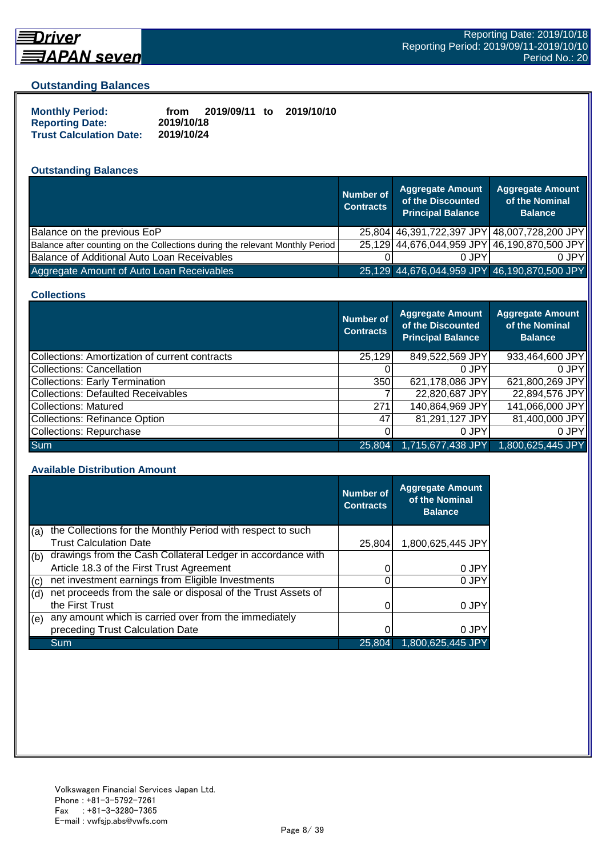

# **Driver** <u> 司APAN seven</u>

#### **Outstanding Balances**

| <b>Monthly Period:</b>         | from       | 2019/09/11 to | 2019/10/10 |
|--------------------------------|------------|---------------|------------|
| <b>Reporting Date:</b>         | 2019/10/18 |               |            |
| <b>Trust Calculation Date:</b> | 2019/10/24 |               |            |

### **Outstanding Balances**

|                                                                              | <b>Number of</b><br><b>Contracts</b> | <b>Aggregate Amount</b><br>of the Discounted<br><b>Principal Balance</b> | <b>Aggregate Amount</b><br>of the Nominal<br><b>Balance</b> |
|------------------------------------------------------------------------------|--------------------------------------|--------------------------------------------------------------------------|-------------------------------------------------------------|
| Balance on the previous EoP                                                  |                                      |                                                                          | 25,804 46,391,722,397 JPY 48,007,728,200 JPY                |
| Balance after counting on the Collections during the relevant Monthly Period |                                      |                                                                          | 25,129 44,676,044,959 JPY 46,190,870,500 JPY                |
| Balance of Additional Auto Loan Receivables                                  |                                      | 0.JPY                                                                    | 0.JPY                                                       |
| Aggregate Amount of Auto Loan Receivables                                    |                                      | 25,129 44,676,044,959 JPY 46,190,870,500 JPY                             |                                                             |

#### **Collections**

|                                                | <b>Number of</b><br><b>Contracts</b> | <b>Aggregate Amount</b><br>of the Discounted<br><b>Principal Balance</b> | <b>Aggregate Amount</b><br>of the Nominal<br><b>Balance</b> |
|------------------------------------------------|--------------------------------------|--------------------------------------------------------------------------|-------------------------------------------------------------|
| Collections: Amortization of current contracts | 25,129                               | 849,522,569 JPY                                                          | 933,464,600 JPY                                             |
| Collections: Cancellation                      |                                      | 0 JPY                                                                    | 0.JPY                                                       |
| <b>Collections: Early Termination</b>          | 350                                  | 621,178,086 JPY                                                          | 621,800,269 JPY                                             |
| <b>Collections: Defaulted Receivables</b>      |                                      | 22,820,687 JPY                                                           | 22,894,576 JPY                                              |
| <b>Collections: Matured</b>                    | 271                                  | 140,864,969 JPY                                                          | 141,066,000 JPY                                             |
| <b>Collections: Refinance Option</b>           | 47                                   | 81,291,127 JPY                                                           | 81,400,000 JPY                                              |
| Collections: Repurchase                        |                                      | 0 JPY                                                                    | 0 JPY                                                       |
| <b>Sum</b>                                     | 25,804                               | 1,715,677,438 JPY                                                        | 1,800,625,445 <u>JPY</u>                                    |

#### **Available Distribution Amount**

|     |                                                               | <b>Number of</b><br><b>Contracts</b> | <b>Aggregate Amount</b><br>of the Nominal<br><b>Balance</b> |
|-----|---------------------------------------------------------------|--------------------------------------|-------------------------------------------------------------|
| (a) | the Collections for the Monthly Period with respect to such   |                                      |                                                             |
|     | <b>Trust Calculation Date</b>                                 | 25,804                               | 1,800,625,445 JPY                                           |
| (b) | drawings from the Cash Collateral Ledger in accordance with   |                                      |                                                             |
|     | Article 18.3 of the First Trust Agreement                     |                                      | 0 JPY                                                       |
| (c) | net investment earnings from Eligible Investments             |                                      | 0 JPY                                                       |
| (d) | net proceeds from the sale or disposal of the Trust Assets of |                                      |                                                             |
|     | the First Trust                                               |                                      | 0 JPY                                                       |
| (e) | any amount which is carried over from the immediately         |                                      |                                                             |
|     | preceding Trust Calculation Date                              |                                      | 0 JPY                                                       |
|     | Sum                                                           | 25,804                               | 1.800.625.445 JPY                                           |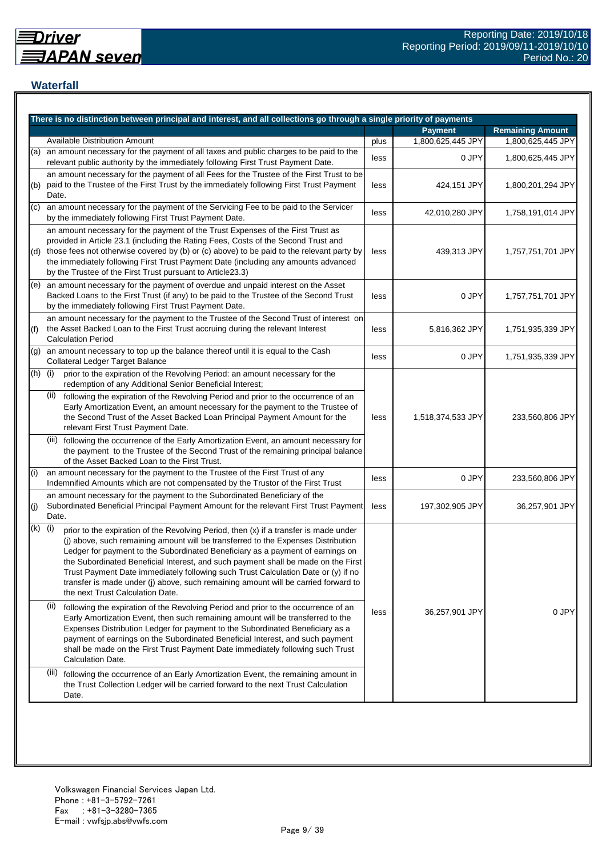## **Waterfall**

|     | There is no distinction between principal and interest, and all collections go through a single priority of payments                                                                                                                                                                                                                                                                                                                                                                                                                                                    |      |                   |                         |
|-----|-------------------------------------------------------------------------------------------------------------------------------------------------------------------------------------------------------------------------------------------------------------------------------------------------------------------------------------------------------------------------------------------------------------------------------------------------------------------------------------------------------------------------------------------------------------------------|------|-------------------|-------------------------|
|     |                                                                                                                                                                                                                                                                                                                                                                                                                                                                                                                                                                         |      | <b>Payment</b>    | <b>Remaining Amount</b> |
|     | Available Distribution Amount                                                                                                                                                                                                                                                                                                                                                                                                                                                                                                                                           | plus | 1,800,625,445 JPY | 1,800,625,445 JPY       |
| (a) | an amount necessary for the payment of all taxes and public charges to be paid to the<br>relevant public authority by the immediately following First Trust Payment Date.                                                                                                                                                                                                                                                                                                                                                                                               | less | 0 JPY             | 1,800,625,445 JPY       |
| (b) | an amount necessary for the payment of all Fees for the Trustee of the First Trust to be<br>paid to the Trustee of the First Trust by the immediately following First Trust Payment<br>Date.                                                                                                                                                                                                                                                                                                                                                                            | less | 424,151 JPY       | 1,800,201,294 JPY       |
| (c) | an amount necessary for the payment of the Servicing Fee to be paid to the Servicer<br>by the immediately following First Trust Payment Date.                                                                                                                                                                                                                                                                                                                                                                                                                           | less | 42,010,280 JPY    | 1,758,191,014 JPY       |
| (d) | an amount necessary for the payment of the Trust Expenses of the First Trust as<br>provided in Article 23.1 (including the Rating Fees, Costs of the Second Trust and<br>those fees not otherwise covered by (b) or (c) above) to be paid to the relevant party by<br>the immediately following First Trust Payment Date (including any amounts advanced<br>by the Trustee of the First Trust pursuant to Article23.3)                                                                                                                                                  | less | 439,313 JPY       | 1,757,751,701 JPY       |
| (e) | an amount necessary for the payment of overdue and unpaid interest on the Asset<br>Backed Loans to the First Trust (if any) to be paid to the Trustee of the Second Trust<br>by the immediately following First Trust Payment Date.                                                                                                                                                                                                                                                                                                                                     | less | 0 JPY             | 1,757,751,701 JPY       |
| (f) | an amount necessary for the payment to the Trustee of the Second Trust of interest on<br>the Asset Backed Loan to the First Trust accruing during the relevant Interest<br><b>Calculation Period</b>                                                                                                                                                                                                                                                                                                                                                                    | less | 5,816,362 JPY     | 1,751,935,339 JPY       |
| (g) | an amount necessary to top up the balance thereof until it is equal to the Cash<br><b>Collateral Ledger Target Balance</b>                                                                                                                                                                                                                                                                                                                                                                                                                                              | less | 0 JPY             | 1,751,935,339 JPY       |
| (h) | (i)<br>prior to the expiration of the Revolving Period: an amount necessary for the<br>redemption of any Additional Senior Beneficial Interest;                                                                                                                                                                                                                                                                                                                                                                                                                         |      |                   |                         |
|     | (ii)<br>following the expiration of the Revolving Period and prior to the occurrence of an<br>Early Amortization Event, an amount necessary for the payment to the Trustee of<br>the Second Trust of the Asset Backed Loan Principal Payment Amount for the<br>relevant First Trust Payment Date.                                                                                                                                                                                                                                                                       | less | 1,518,374,533 JPY | 233,560,806 JPY         |
|     | (iii) following the occurrence of the Early Amortization Event, an amount necessary for<br>the payment to the Trustee of the Second Trust of the remaining principal balance<br>of the Asset Backed Loan to the First Trust.                                                                                                                                                                                                                                                                                                                                            |      |                   |                         |
| (i) | an amount necessary for the payment to the Trustee of the First Trust of any<br>Indemnified Amounts which are not compensated by the Trustor of the First Trust                                                                                                                                                                                                                                                                                                                                                                                                         | less | 0 JPY             | 233,560,806 JPY         |
| (j) | an amount necessary for the payment to the Subordinated Beneficiary of the<br>Subordinated Beneficial Principal Payment Amount for the relevant First Trust Payment<br>Date.                                                                                                                                                                                                                                                                                                                                                                                            | less | 197,302,905 JPY   | 36,257,901 JPY          |
| (k) | (i)<br>prior to the expiration of the Revolving Period, then (x) if a transfer is made under<br>(j) above, such remaining amount will be transferred to the Expenses Distribution<br>Ledger for payment to the Subordinated Beneficiary as a payment of earnings on<br>the Subordinated Beneficial Interest, and such payment shall be made on the First<br>Trust Payment Date immediately following such Trust Calculation Date or (y) if no<br>transfer is made under (j) above, such remaining amount will be carried forward to<br>the next Trust Calculation Date. |      |                   |                         |
|     | (ii)<br>following the expiration of the Revolving Period and prior to the occurrence of an<br>Early Amortization Event, then such remaining amount will be transferred to the<br>Expenses Distribution Ledger for payment to the Subordinated Beneficiary as a<br>payment of earnings on the Subordinated Beneficial Interest, and such payment<br>shall be made on the First Trust Payment Date immediately following such Trust<br>Calculation Date.                                                                                                                  | less | 36,257,901 JPY    | 0 JPY                   |
|     | (iii)<br>following the occurrence of an Early Amortization Event, the remaining amount in<br>the Trust Collection Ledger will be carried forward to the next Trust Calculation<br>Date.                                                                                                                                                                                                                                                                                                                                                                                 |      |                   |                         |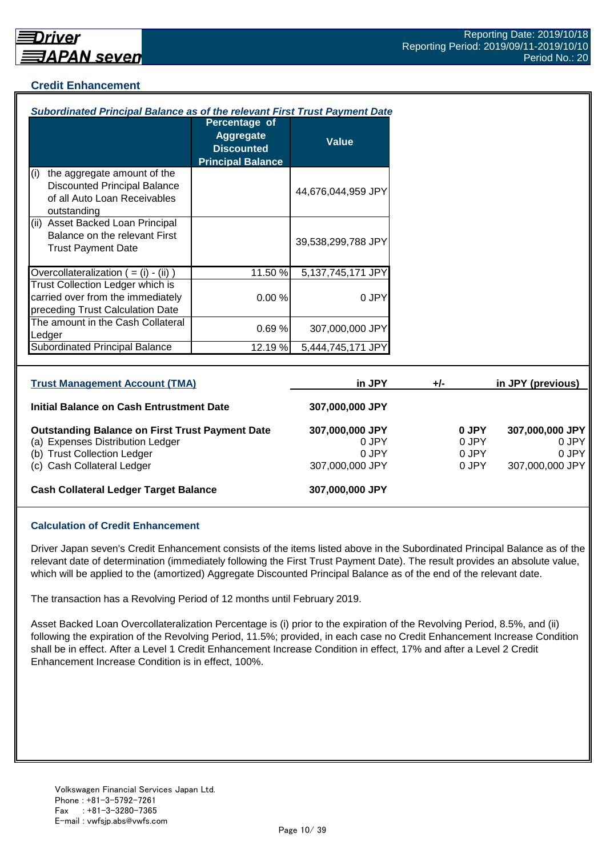#### **Credit Enhancement**

| Subordinated Principal Balance as of the relevant First Trust Payment Date                                                                              |                                                                                    |                                                      |       |                                  |                                                      |
|---------------------------------------------------------------------------------------------------------------------------------------------------------|------------------------------------------------------------------------------------|------------------------------------------------------|-------|----------------------------------|------------------------------------------------------|
|                                                                                                                                                         | Percentage of<br><b>Aggregate</b><br><b>Discounted</b><br><b>Principal Balance</b> | <b>Value</b>                                         |       |                                  |                                                      |
| the aggregate amount of the<br>(i)<br><b>Discounted Principal Balance</b><br>of all Auto Loan Receivables<br>outstanding                                |                                                                                    | 44,676,044,959 JPY                                   |       |                                  |                                                      |
| (ii) Asset Backed Loan Principal<br>Balance on the relevant First<br><b>Trust Payment Date</b>                                                          |                                                                                    | 39,538,299,788 JPY                                   |       |                                  |                                                      |
| Overcollateralization $( = (i) - (ii))$                                                                                                                 | 11.50 %                                                                            | 5,137,745,171 JPY                                    |       |                                  |                                                      |
| Trust Collection Ledger which is<br>carried over from the immediately<br>preceding Trust Calculation Date                                               | 0.00%                                                                              | 0 JPY                                                |       |                                  |                                                      |
| The amount in the Cash Collateral<br>Ledger                                                                                                             | 0.69%                                                                              | 307,000,000 JPY                                      |       |                                  |                                                      |
| <b>Subordinated Principal Balance</b>                                                                                                                   | 12.19 %                                                                            | 5,444,745,171 JPY                                    |       |                                  |                                                      |
|                                                                                                                                                         |                                                                                    |                                                      |       |                                  |                                                      |
| <b>Trust Management Account (TMA)</b>                                                                                                                   |                                                                                    | in JPY                                               | $+/-$ |                                  | in JPY (previous)                                    |
| Initial Balance on Cash Entrustment Date                                                                                                                |                                                                                    | 307,000,000 JPY                                      |       |                                  |                                                      |
| <b>Outstanding Balance on First Trust Payment Date</b><br>(a) Expenses Distribution Ledger<br>(b) Trust Collection Ledger<br>(c) Cash Collateral Ledger |                                                                                    | 307,000,000 JPY<br>0 JPY<br>0 JPY<br>307,000,000 JPY |       | 0 JPY<br>0 JPY<br>0 JPY<br>0 JPY | 307,000,000 JPY<br>0 JPY<br>0 JPY<br>307,000,000 JPY |
| <b>Cash Collateral Ledger Target Balance</b>                                                                                                            |                                                                                    | 307,000,000 JPY                                      |       |                                  |                                                      |

#### **Calculation of Credit Enhancement**

Driver Japan seven's Credit Enhancement consists of the items listed above in the Subordinated Principal Balance as of the relevant date of determination (immediately following the First Trust Payment Date). The result provides an absolute value, which will be applied to the (amortized) Aggregate Discounted Principal Balance as of the end of the relevant date.

The transaction has a Revolving Period of 12 months until February 2019.

Asset Backed Loan Overcollateralization Percentage is (i) prior to the expiration of the Revolving Period, 8.5%, and (ii) following the expiration of the Revolving Period, 11.5%; provided, in each case no Credit Enhancement Increase Condition shall be in effect. After a Level 1 Credit Enhancement Increase Condition in effect, 17% and after a Level 2 Credit Enhancement Increase Condition is in effect, 100%.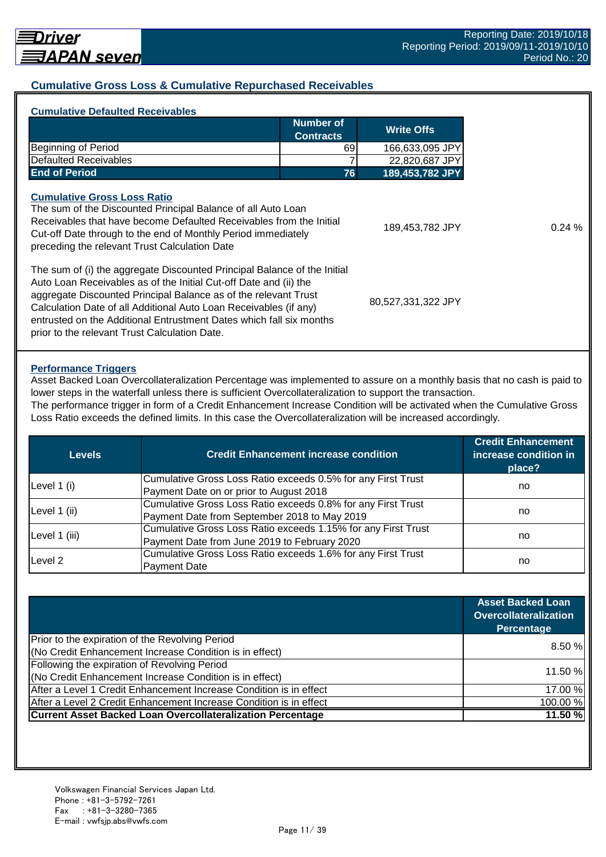#### **Cumulative Gross Loss & Cumulative Repurchased Receivables**

|                                                                                                                                                                                                                                                                                                                                                              | Number of<br><b>Contracts</b> | <b>Write Offs</b>  |
|--------------------------------------------------------------------------------------------------------------------------------------------------------------------------------------------------------------------------------------------------------------------------------------------------------------------------------------------------------------|-------------------------------|--------------------|
| <b>Beginning of Period</b>                                                                                                                                                                                                                                                                                                                                   | 69                            | 166,633,095 JPY    |
| <b>Defaulted Receivables</b>                                                                                                                                                                                                                                                                                                                                 |                               | 22,820,687 JPY     |
| <b>End of Period</b>                                                                                                                                                                                                                                                                                                                                         | 76                            | 189,453,782 JPY    |
| <b>Cumulative Gross Loss Ratio</b><br>The sum of the Discounted Principal Balance of all Auto Loan<br>Receivables that have become Defaulted Receivables from the Initial<br>Cut-off Date through to the end of Monthly Period immediately<br>preceding the relevant Trust Calculation Date                                                                  |                               | 189,453,782 JPY    |
| The sum of (i) the aggregate Discounted Principal Balance of the Initial<br>Auto Loan Receivables as of the Initial Cut-off Date and (ii) the<br>aggregate Discounted Principal Balance as of the relevant Trust<br>Calculation Date of all Additional Auto Loan Receivables (if any)<br>entrusted on the Additional Entrustment Dates which fall six months |                               | 80,527,331,322 JPY |

#### **Performance Triggers**

Asset Backed Loan Overcollateralization Percentage was implemented to assure on a monthly basis that no cash is paid to lower steps in the waterfall unless there is sufficient Overcollateralization to support the transaction. The performance trigger in form of a Credit Enhancement Increase Condition will be activated when the Cumulative Gross

Loss Ratio exceeds the defined limits. In this case the Overcollateralization will be increased accordingly.

| <b>Levels</b> | <b>Credit Enhancement increase condition</b>                  | <b>Credit Enhancement</b><br>increase condition in<br>place? |  |
|---------------|---------------------------------------------------------------|--------------------------------------------------------------|--|
|               | Cumulative Gross Loss Ratio exceeds 0.5% for any First Trust  |                                                              |  |
| Level 1 (i)   | Payment Date on or prior to August 2018                       | no                                                           |  |
| Level 1 (ii)  | Cumulative Gross Loss Ratio exceeds 0.8% for any First Trust  |                                                              |  |
|               | Payment Date from September 2018 to May 2019                  | no                                                           |  |
|               | Cumulative Gross Loss Ratio exceeds 1.15% for any First Trust |                                                              |  |
| Level 1 (iii) | Payment Date from June 2019 to February 2020                  | no                                                           |  |
| Level 2       | Cumulative Gross Loss Ratio exceeds 1.6% for any First Trust  |                                                              |  |
|               | <b>Payment Date</b>                                           | no                                                           |  |

|                                                                    | <b>Asset Backed Loan</b><br>Overcollateralization<br>Percentage |
|--------------------------------------------------------------------|-----------------------------------------------------------------|
| Prior to the expiration of the Revolving Period                    | 8.50%                                                           |
| (No Credit Enhancement Increase Condition is in effect)            |                                                                 |
| Following the expiration of Revolving Period                       |                                                                 |
| (No Credit Enhancement Increase Condition is in effect)            | 11.50 %                                                         |
| After a Level 1 Credit Enhancement Increase Condition is in effect | 17.00 %                                                         |
| After a Level 2 Credit Enhancement Increase Condition is in effect | 100.00 %                                                        |
| <b>Current Asset Backed Loan Overcollateralization Percentage</b>  | 11.50 %                                                         |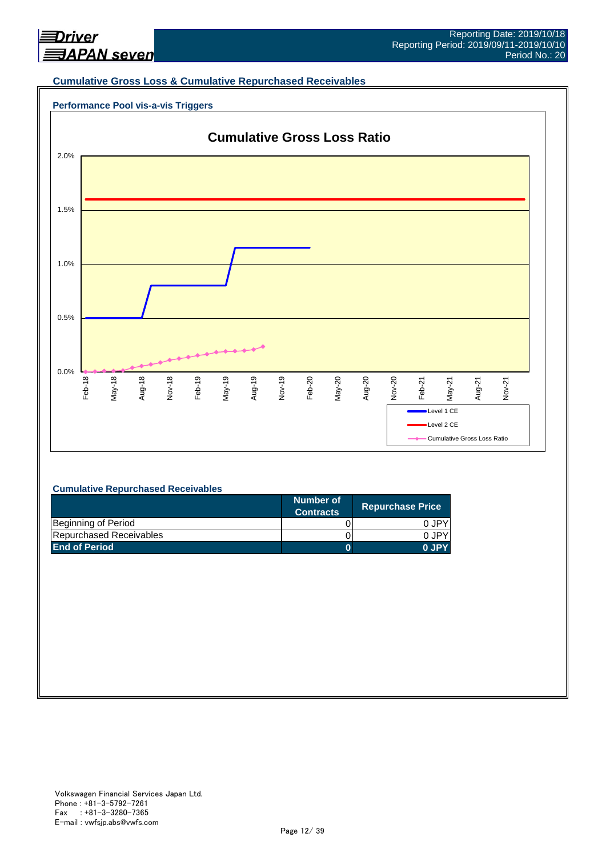

#### **Cumulative Gross Loss & Cumulative Repurchased Receivables**

### **Performance Pool vis-a-vis Triggers**



#### **Cumulative Repurchased Receivables**

|                         | Number of<br><b>Contracts</b> | <b>Repurchase Price</b> |
|-------------------------|-------------------------------|-------------------------|
| Beginning of Period     |                               | 0 JPY                   |
| Repurchased Receivables |                               | 0.JPY                   |
| <b>End of Period</b>    |                               | 0 JPY                   |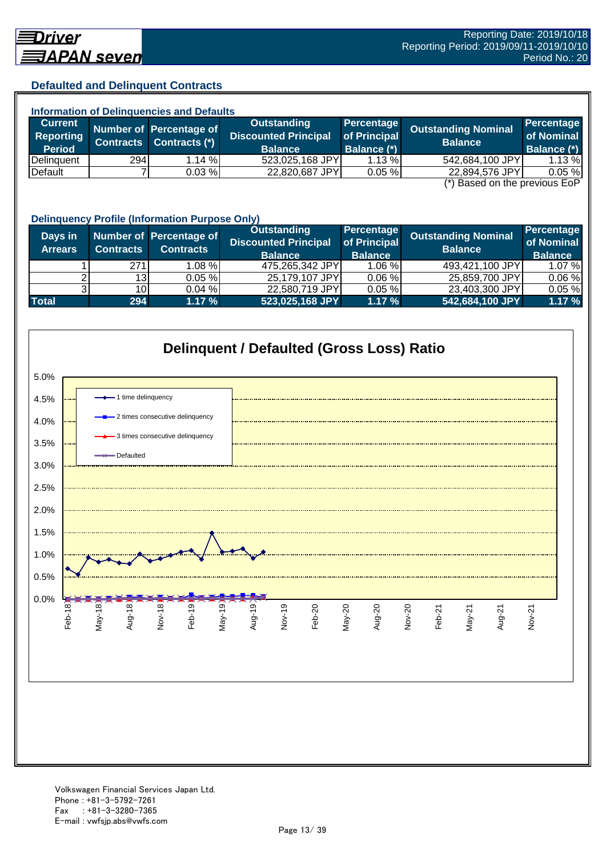## **Defaulted and Delinquent Contracts**

| <b>Information of Delinguencies and Defaults</b> |                  |                         |                             |              |                                                            |                    |  |  |
|--------------------------------------------------|------------------|-------------------------|-----------------------------|--------------|------------------------------------------------------------|--------------------|--|--|
| <b>Current</b>                                   |                  | Number of Percentage of | Outstanding                 | Percentage   | <b>Outstanding Nominal</b>                                 | <b>Percentage</b>  |  |  |
| Reporting                                        | <b>Contracts</b> | Contracts (*)           | <b>Discounted Principal</b> | of Principal | <b>Balance</b>                                             | of Nominal         |  |  |
| <b>Period</b>                                    |                  |                         | <b>Balance</b>              | Balance (*)  |                                                            | <b>Balance (*)</b> |  |  |
| Delinquent                                       | 294              | 1.14%                   | 523,025,168 JPY             | 1.13%        | 542,684,100 JPY                                            | 1.13%              |  |  |
| Default                                          |                  | 0.03%                   | 22,820,687 JPY              | 0.05%        | 22,894,576 JPY                                             | 0.05%              |  |  |
|                                                  |                  |                         |                             |              | $\binom{*}{k}$ Desain an the provision $\Gamma_{\alpha}$ D |                    |  |  |

(\*) Based on the previous EoP

|                           | <b>Delinquency Profile (Information Purpose Only)</b> |                                             |                                                                     |                                                     |                                              |                                                   |  |  |
|---------------------------|-------------------------------------------------------|---------------------------------------------|---------------------------------------------------------------------|-----------------------------------------------------|----------------------------------------------|---------------------------------------------------|--|--|
| Days in<br><b>Arrears</b> | <b>Contracts</b>                                      | Number of Percentage of<br><b>Contracts</b> | <b>Outstanding</b><br><b>Discounted Principal</b><br><b>Balance</b> | <b>Percentage</b><br>of Principal<br><b>Balance</b> | <b>Outstanding Nominal</b><br><b>Balance</b> | <b>Percentage</b><br>of Nominal<br><b>Balance</b> |  |  |
|                           | 271                                                   | $1.08 \%$                                   | 475,265,342 JPY                                                     | 1.06%                                               | 493,421,100 JPY                              | 1.07%                                             |  |  |
|                           | 13 <sub>l</sub>                                       | $0.05 \%$                                   | 25,179,107 JPY                                                      | 0.06%                                               | 25,859,700 JPY                               | 0.06%                                             |  |  |
|                           | 10I                                                   | 0.04%                                       | 22,580,719 JPY                                                      | 0.05%                                               | 23,403,300 JPY                               | 0.05%                                             |  |  |
| <b>Total</b>              | 294                                                   | 1.17%                                       | 523,025,168 JPY                                                     | 1.17%                                               | 542,684,100 JPY                              | 1.17 %                                            |  |  |

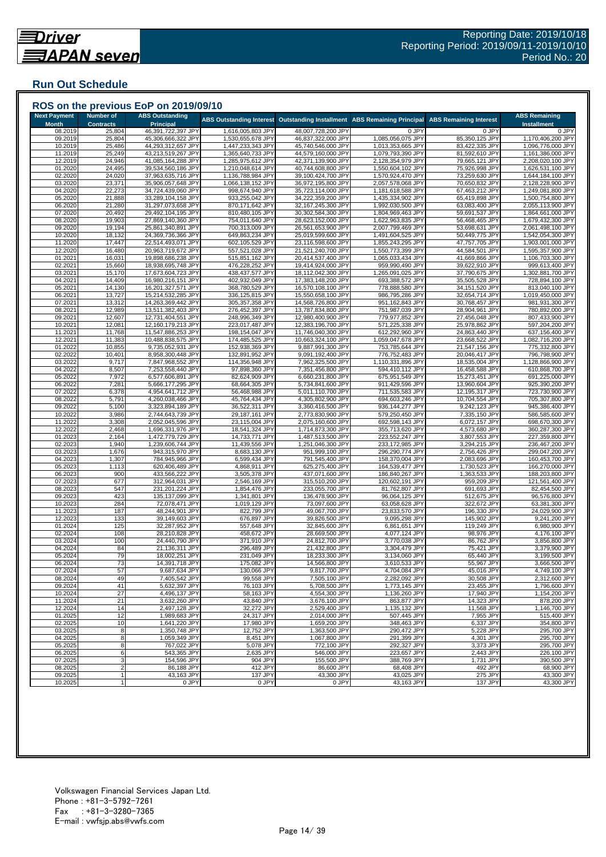## **Run Out Schedule**

| <b>Next Payment</b> | Number of        | ROS on the previous EoP on 2019/09/10<br><b>ABS Outstanding</b> | <b>ABS Outstanding Interest</b>        |                                          |                                        |                                  | <b>ABS Remaining</b>                   |
|---------------------|------------------|-----------------------------------------------------------------|----------------------------------------|------------------------------------------|----------------------------------------|----------------------------------|----------------------------------------|
| <b>Month</b>        | <b>Contracts</b> | <b>Principal</b>                                                |                                        | <b>Outstanding Installment</b>           | <b>ABS Remaining Principal</b>         | <b>ABS Remaining Interest</b>    | <b>Installment</b>                     |
| 08.2019             | 25,804           | 46,391,722,397 JPY                                              | 1,616,005,803 JPY                      | 48,007,728,200 JPY                       | 0 JPY                                  | 0 JPY                            | 0 JPY                                  |
| 09.2019             | 25,804           | 45,306,666,322 JPY                                              | 1,530,655,678 JPY                      | 46,837,322,000 JPY                       | 1,085,056,075 JPY                      | 85,350,125 JPY                   | 1,170,406,200 JPY                      |
| 10.2019<br>11.2019  | 25,486<br>25,249 | 44,293,312,657 JPY<br>43,213,519,267 JPY                        | 1,447,233,343 JPY<br>1,365,640,733 JPY | 45,740,546,000 JPY<br>44,579,160,000 JPY | 1,013,353,665 JPY<br>1,079,793,390 JPY | 83,422,335 JPY<br>81,592,610 JPY | 1,096,776,000 JPY<br>1,161,386,000 JPY |
| 12.2019             | 24,946           | 41,085,164,288 JPY                                              | 1,285,975,612 JPY                      | 42,371,139,900 JPY                       | 2,128,354,979 JPY                      | 79,665,121 JPY                   | 2,208,020,100 JPY                      |
| 01.2020             | 24,495           | 39,534,560,186 JPY                                              | 1,210,048,614 JPY                      | 40,744,608,800 JPY                       | 1,550,604,102 JPY                      | 75,926,998 JPY                   | 1,626,531,100 JPY                      |
| 02.2020             | 24,020           | 37,963,635,716 JPY                                              | 1,136,788,984 JPY                      | 39,100,424,700 JPY                       | 1,570,924,470 JPY                      | 73,259,630 JPY                   | 1,644,184,100 JPY                      |
| 03.2020             | 23,371           | 35,906,057,648 JPY                                              | 1,066,138,152 JPY                      | 36,972,195,800 JPY                       | 2,057,578,068 JPY                      | 70,650,832 JPY                   | 2,128,228,900 JPY                      |
| 04.2020             | 22,273           | 34,724,439,060 JPY                                              | 998,674,940 JPY                        | 35,723,114,000 JPY                       | 1,181,618,588 JPY                      | 67,463,212 JPY                   | 1,249,081,800 JPY                      |
| 05.2020             | 21,888           | 33,289,104,158 JPY                                              | 933,255,042 JPY                        | 34,222,359,200 JPY                       | 1,435,334,902 JPY                      | 65,419,898 JPY                   | 1,500,754,800 JPY                      |
| 06.2020             | 21,280           | 31,297,073,658 JPY                                              | 870,171,642 JPY                        | 32,167,245,300 JPY<br>30,302,584,300 JPY | 1,992,030,500 JPY                      | 63,083,400 JPY                   | 2,055,113,900 JPY<br>1,864,661,000 JPY |
| 07.2020<br>08.2020  | 20,492<br>19,903 | 29,492,104,195 JPY<br>27,869,140,360 JPY                        | 810,480,105 JPY<br>754,011,640 JPY     | 28,623,152,000 JPY                       | 1,804,969,463 JPY<br>1,622,963,835 JPY | 59,691,537 JPY<br>56,468,465 JPY | 1,679,432,300 JPY                      |
| 09.2020             | 19,194           | 25,861,340,891 JPY                                              | 700,313,009 JPY                        | 26,561,653,900 JPY                       | 2,007,799,469 JPY                      | 53,698,631 JPY                   | 2,061,498,100 JPY                      |
| 10.2020             | 18,132           | 24,369,736,366 JPY                                              | 649,863,234 JPY                        | 25,019,599,600 JPY                       | 1,491,604,525 JPY                      | 50,449,775 JPY                   | 1,542,054,300 JPY                      |
| 11.2020             | 17,447           | 22,514,493,071 JPY                                              | 602,105,529 JPY                        | 23,116,598,600 JPY                       | 1,855,243,295 JPY                      | 47,757,705 JPY                   | 1,903,001,000 JPY                      |
| 12.2020             | 16,480           | 20,963,719,672 JPY                                              | 557,521,028 JPY                        | 21,521,240,700 JPY                       | 1,550,773,399 JPY                      | 44,584,501 JPY                   | 1,595,357,900 JPY                      |
| 01.2021             | 16,031           | 19,898,686,238 JPY                                              | 515,851,162 JPY                        | 20,414,537,400 JPY                       | 1,065,033,434 JPY                      | 41,669,866 JPY                   | 1,106,703,300 JPY                      |
| 02.2021             | 15,660           | 18,938,695,748 JPY                                              | 476,228,252 JPY                        | 19,414,924,000 JPY                       | 959,990,490 JPY                        | 39,622,910 JPY                   | 999,613,400 JPY                        |
| 03.2021             | 15,170           | 17,673,604,723 JPY                                              | 438,437,577 JPY                        | 18,112,042,300 JPY<br>17,383,148,200 JPY | 1,265,091,025 JPY<br>693,388,572 JPY   | 37,790,675 JPY                   | 1,302,881,700 JPY<br>728,894,100 JPY   |
| 04.2021<br>05.2021  | 14,409<br>14,130 | 16,980,216,151 JPY<br>16,201,327,571 JPY                        | 402,932,049 JPY<br>368,780,529 JPY     | 16,570,108,100 JPY                       | 778,888,580 JPY                        | 35,505,528 JPY<br>34,151,520 JPY | 813,040,100 JPY                        |
| 06.2021             | 13,727           | 15,214,532,285 JPY                                              | 336, 125, 815 JPY                      | 15,550,658,100 JPY                       | 986,795,286 JPY                        | 32,654,714 JPY                   | 1,019,450,000 JPY                      |
| 07.2021             | 13,312           | 14,263,369,442 JPY                                              | 305,357,358 JPY                        | 14,568,726,800 JPY                       | 951,162,843 JPY                        | 30,768,457 JPY                   | 981,931,300 JPY                        |
| 08.2021             | 12,989           | 13,511,382,403 JPY                                              | 276,452,397 JPY                        | 13,787,834,800 JPY                       | 751,987,039 JPY                        | 28,904,961 JPY                   | 780,892,000 JPY                        |
| 09.2021             | 12,607           | 12,731,404,551 JPY                                              | 248,996,349 JPY                        | 12,980,400,900 JPY                       | 779,977,852 JPY                        | 27,456,048 JPY                   | 807,433,900 JPY                        |
| 10.2021             | 12,081           | 12,160,179,213 JPY                                              | 223,017,487 JPY                        | 12,383,196,700 JPY                       | 571,225,338 JPY                        | 25,978,862 JPY                   | 597,204,200 JPY                        |
| 11.2021             | 11,768           | 11,547,886,253 JPY                                              | 198,154,047 JPY                        | 11,746,040,300 JPY                       | 612,292,960 JPY                        | 24,863,440 JPY                   | 637,156,400 JPY                        |
| 12.2021             | 11,383           | 10,488,838,575 JPY                                              | 174,485,525 JPY                        | 10,663,324,100 JPY                       | 1,059,047,678 JPY                      | 23,668,522 JPY                   | 1,082,716,200 JPY                      |
| 01.2022<br>02.2022  | 10,855           | 9,735,052,931 JPY<br>8,958,300,448 JPY                          | 152,938,369 JPY                        | 9,887,991,300 JPY<br>9,091,192,400 JPY   | 753,785,644 JPY<br>776,752,483 JPY     | 21,547,156 JPY<br>20,046,417 JPY | 775,332,800 JPY<br>796,798,900 JPY     |
| 03.2022             | 10,401<br>9,717  | 7,847,968,552 JPY                                               | 132,891,952 JPY<br>114,356,948 JPY     | 7,962,325,500 JPY                        | 1,110,331,896 JPY                      | 18,535,004 JPY                   | 1,128,866,900 JPY                      |
| 04.2022             | 8,507            | 7,253,558,440 JPY                                               | 97,898,360 JPY                         | 7,351,456,800 JPY                        | 594,410,112 JPY                        | 16,458,588 JPY                   | 610,868,700 JPY                        |
| 05.2022             | 7,972            | 6,577,606,891 JPY                                               | 82,624,909 JPY                         | 6,660,231,800 JPY                        | 675,951,549 JPY                        | 15,273,451 JPY                   | 691,225,000 JPY                        |
| 06.2022             | 7,281            | 5,666,177,295 JPY                                               | 68,664,305 JPY                         | 5,734,841,600 JPY                        | 911,429,596 JPY                        | 13,960,604 JPY                   | 925,390,200 JPY                        |
| 07.2022             | 6,378            | 4,954,641,712 JPY                                               | 56,468,988 JPY                         | 5,011,110,700 JPY                        | 711,535,583 JPY                        | 12,195,317 JPY                   | 723,730,900 JPY                        |
| 08.2022             | 5,791            | 4,260,038,466 JPY                                               | 45,764,434 JPY                         | 4,305,802,900 JPY                        | 694,603,246 JPY                        | 10,704,554 JPY                   | 705,307,800 JPY                        |
| 09.2022             | 5,100            | 3,323,894,189 JPY                                               | 36,522,311 JPY                         | 3,360,416,500 JPY                        | 936,144,277 JPY                        | 9,242,123 JPY                    | 945,386,400 JPY                        |
| 10.2022             | 3,986            | 2,744,643,739 JPY                                               | 29,187,161 JPY                         | 2,773,830,900 JPY                        | 579,250,450 JPY                        | 7,335,150 JPY                    | 586,585,600 JPY                        |
| 11.202<br>12.2022   | 3,308<br>2,468   | 2,052,045,596 JPY<br>1,696,331,976 JPY                          | 23,115,004 JPY<br>18,541,324 JPY       | 2,075,160,600 JPY<br>1,714,873,300 JPY   | 692,598,143 JPY<br>355,713,620 JPY     | 6,072,157 JPY<br>4,573,680 JPY   | 698,670,300 JPY<br>360,287,300 JPY     |
| 01.2023             | 2,164            | 1,472,779,729 JPY                                               | 14,733,771 JPY                         | 1,487,513,500 JPY                        | 223,552,247 JPY                        | 3,807,553 JPY                    | 227,359,800 JPY                        |
| 02.2023             | 1,940            | 1,239,606,744 JPY                                               | 11,439,556 JPY                         | 1,251,046,300 JPY                        | 233,172,985 JPY                        | 3,294,215 JPY                    | 236,467,200 JPY                        |
| 03.2023             | 1,676            | 943,315,970 JPY                                                 | 8,683,130 JPY                          | 951,999,100 JPY                          | 296,290,774 JPY                        | 2,756,426 JPY                    | 299,047,200 JPY                        |
| 04.2023             | 1,307            | 784,945,966 JPY                                                 | 6,599,434 JPY                          | 791,545,400 JPY                          | 158,370,004 JPY                        | 2,083,696 JPY                    | 160,453,700 JPY                        |
| 05.2023             | 1,113            | 620,406,489 JPY                                                 | 4,868,911 JPY                          | 625,275,400 JPY                          | 164,539,477 JPY                        | 1,730,523 JPY                    | 166,270,000 JPY                        |
| 06.2023             | 900              | 433,566,222 JPY                                                 | 3,505,378 JPY                          | 437,071,600 JPY                          | 186,840,267 JPY                        | 1,363,533 JPY                    | 188,203,800 JPY                        |
| 07.2023             | 677              | 312,964,031 JPY                                                 | 2,546,169 JPY                          | 315,510,200 JPY                          | 120,602,191 JPY                        | 959,209 JPY                      | 121,561,400 JPY                        |
| 08.2023<br>09.2023  | 547<br>423       | 231,201,224 JPY<br>135,137,099 JPY                              | 1,854,476 JPY<br>1,341,801 JPY         | 233,055,700 JPY<br>136,478,900 JPY       | 81,762,807 JPY<br>96,064,125 JPY       | 691,693 JPY<br>512,675 JPY       | 82,454,500 JPY<br>96,576,800 JPY       |
| 10.2023             | 284              | 72,078,471 JPY                                                  | 1,019,129 JPY                          | 73,097,600 JPY                           | 63,058,628 JPY                         | 322,672 JPY                      | 63,381,300 JPY                         |
| 11.2023             | 187              | 48,244,901 JPY                                                  | 822,799 JPY                            | 49,067,700 JPY                           | 23,833,570 JPY                         | 196,330 JPY                      | 24,029,900 JPY                         |
| 12.2023             | 133              | 39,149,603 JPY                                                  | 676,897 JPY                            | 39,826,500 JPY                           | 9,095,298 JPY                          | 145,902 JPY                      | 9,241,200 JPY                          |
| 01.2024             | 125              | 32,287,952 JPY                                                  | 557,648 JPY                            | 32,845,600 JPY                           | 6,861,651 JPY                          | 119,249 JPY                      | 6,980,900 JPY                          |
| 02.2024             | 108              | 28,210,828 JPY                                                  | 458,672 JPY                            | 28,669,500 JPY                           | 4,077,124 JPY                          | 98,976 JPY                       | 4,176,100 JPY                          |
| 03.2024             | 100              | 24,440,790 JPY                                                  | 371,910 JPY                            | 24,812,700 JPY                           | 3,770,038 JPY                          | 86,762 JPY                       | 3,856,800 JPY                          |
| 04.2024             | 84               | 21,136,311 JPY                                                  | 296,489 JPY                            | 21,432,800 JPY                           | 3,304,479 JPY                          | 75,421 JPY                       | 3,379,900 JPY                          |
| 05.2024             | 79               | 18,002,251 JPY                                                  | 231,049 JPY                            | 18,233,300 JPY                           | 3,134,060 JPY                          | 65,440 JPY                       | 3,199,500 JPY                          |
| 06.2024<br>07.2024  | 73<br>57         | 14,391,718 JPY<br>9,687,634 JPY                                 | 175,082 JPY<br>130,066 JPY             | 14,566,800 JPY<br>9,817,700 JPY          | 3,610,533 JPY<br>4,704,084 JPY         | 55,967 JPY<br>45,016 JPY         | 3,666,500 JPY<br>4,749,100 JPY         |
| 08.2024             | 49               | 7,405,542 JPY                                                   | 99,558 JPY                             | 7,505,100 JPY                            | 2,282,092 JPY                          | 30,508 JPY                       | 2,312,600 JPY                          |
| 09.2024             | 41               | 5,632,397 JPY                                                   | 76,103 JPY                             | 5,708,500 JPY                            | 1,773,145 JPY                          | 23,455 JPY                       | 1,796,600 JPY                          |
| 10.2024             | 27               | 4,496,137 JPY                                                   | 58,163 JPY                             | 4,554,300 JPY                            | 1,136,260 JPY                          | 17,940 JPY                       | 1.154.200 JPY                          |
| 11.2024             | 21               | 3,632,260 JPY                                                   | 43,840 JPY                             | 3,676,100 JPY                            | 863,877 JPY                            | 14,323 JPY                       | 878,200 JPY                            |
| 12.2024             | 14               | 2,497,128 JPY                                                   | 32,272 JPY                             | 2,529,400 JPY                            | 1,135,132 JPY                          | 11,568 JPY                       | 1,146,700 JPY                          |
| 01.2025             | 12               | 1,989,683 JPY                                                   | 24,317 JPY                             | 2,014,000 JPY                            | 507,445 JPY                            | 7,955 JPY                        | 515,400 JPY                            |
| 02.2025             | 10               | 1,641,220 JPY                                                   | 17,980 JPY                             | 1,659,200 JPY                            | 348,463 JPY                            | 6,337 JPY                        | 354,800 JPY                            |
| 03.2025             | 8                | 1.350.748 JPY                                                   | 12,752 JPY                             | 1,363,500 JPY                            | 290,472 JPY                            | 5,228 JPY                        | 295,700 JPY                            |
| 04.2025<br>05.2025  | 8<br>8           | 1,059,349 JPY<br>767,022 JPY                                    | 8,451 JPY<br>5,078 JPY                 | 1,067,800 JPY<br>772,100 JPY             | 291,399 JPY<br>292,327 JPY             | 4,301 JPY<br>3,373 JPY           | 295,700 JPY<br>295,700 JPY             |
| 06.2025             | 6                | 543,365 JPY                                                     | 2,635 JPY                              | 546,000 JPY                              | 223,657 JPY                            | 2,443 JPY                        | 226,100 JPY                            |
| 07.2025             |                  | 154,596 JPY                                                     | 904 JPY                                | 155,500 JPY                              | 388,769 JPY                            | 1,731 JPY                        | 390,500 JPY                            |
| 08.2025             |                  | 86,188 JPY                                                      | 412 JPY                                | 86,600 JPY                               | 68,408 JPY                             | 492 JPY                          | 68,900 JPY                             |
| 09.2025             |                  | 43,163 JPY                                                      | 137 JPY                                | 43,300 JPY                               | 43,025 JPY                             | 275 JPY                          | 43,300 JPY                             |
| 10.2025             |                  | 0 JPY                                                           | 0 JPY                                  | 0 JPY                                    | 43,163 JPY                             | 137 JPY                          | 43,300 JPY                             |
|                     |                  |                                                                 |                                        |                                          |                                        |                                  |                                        |

###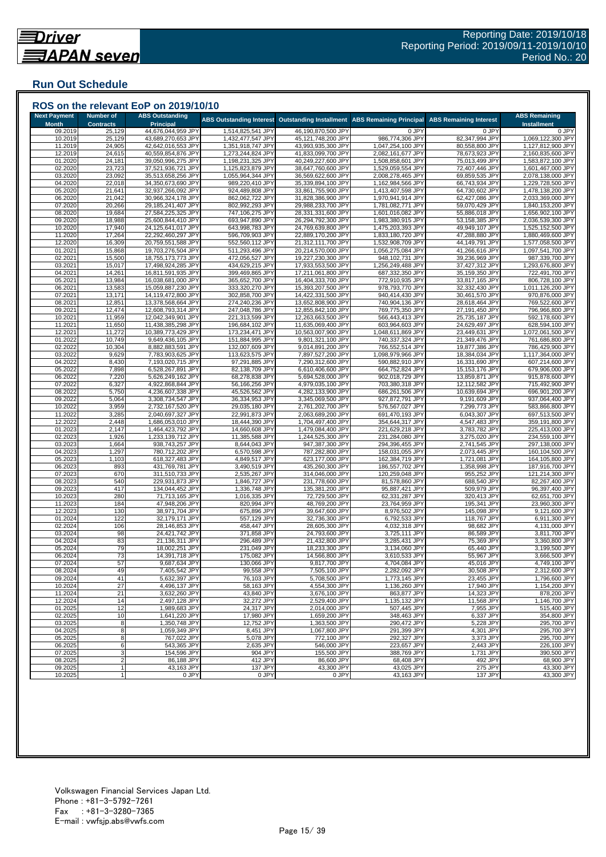## **Run Out Schedule**

|                                     | <b>Number of</b> | ROS on the relevant EoP on 2019/10/10<br><b>ABS Outstanding</b> |                                    |                                          |                                        |                                  | <b>ABS Remaining</b>                   |
|-------------------------------------|------------------|-----------------------------------------------------------------|------------------------------------|------------------------------------------|----------------------------------------|----------------------------------|----------------------------------------|
| <b>Next Payment</b><br><b>Month</b> | <b>Contracts</b> | <b>Principal</b>                                                | <b>ABS Outstanding Interest</b>    | <b>Outstanding Installment</b>           | <b>ABS Remaining Principal</b>         | <b>ABS Remaining Interest</b>    | <b>Installment</b>                     |
| 09.2019                             | 25,129           | 44,676,044,959 JPY                                              | 1,514,825,541 JPY                  | 46,190,870,500 JPY                       | 0 JPY                                  | 0 JPY                            | 0 JPY                                  |
| 10.2019                             | 25,129           | 43,689,270,653 JPY                                              | 1,432,477,547 JPY                  | 45,121,748,200 JPY                       | 986,774,306 JPY                        | 82,347,994 JPY                   | 1,069,122,300 JPY                      |
| 11.2019                             | 24,905           | 42,642,016,553 JPY                                              | 1,351,918,747 JPY                  | 43,993,935,300 JPY                       | 1,047,254,100 JPY                      | 80,558,800 JPY                   | 1,127,812,900 JPY                      |
| 12.2019                             | 24,615           | 40,559,854,876 JPY                                              | 1,273,244,824 JP\                  | 41,833,099,700 JPY                       | 2,082,161,677 JPY                      | 78,673,923 JPY                   | 2,160,835,600 JPY                      |
| 01.2020                             | 24,181           | 39,050,996,275 JPY                                              | 1,198,231,325 JPY                  | 40,249,227,600 JPY                       | 1,508,858,601 JPY                      | 75,013,499 JPY                   | 1,583,872,100 JPY                      |
| 02.2020                             | 23,723           | 37,521,936,721 JPY                                              | 1,125,823,879 JP\                  | 38,647,760,600 JPY                       | 1,529,059,554 JPY                      | 72,407,446 JPY                   | 1,601,467,000 JPY                      |
| 03.2020                             | 23,092           | 35,513,658,256 JPY                                              | 1,055,964,344 JPY                  | 36,569,622,600 JPY                       | 2,008,278,465 JPY                      | 69,859,535 JPY                   | 2,078,138,000 JPY                      |
| 04.2020                             | 22,018           | 34,350,673,690 JPY                                              | 989,220,410 JPY                    | 35,339,894,100 JPY                       | 1,162,984,566 JPY                      | 66,743,934 JPY                   | 1,229,728,500 JPY                      |
| 05.2020                             | 21,641           | 32,937,266,092 JPY                                              | 924,489,808 JPY                    | 33,861,755,900 JPY                       | 1,413,407,598 JPY                      | 64,730,602 JPY                   | 1,478,138,200 JPY                      |
| 06.2020                             | 21,042           | 30,966,324,178 JPY                                              | 862,062,722 JPY                    | 31,828,386,900 JPY                       | 1,970,941,914 JPY                      | 62,427,086 JPY                   | 2,033,369,000 JPY                      |
| 07.2020                             | 20,266           | 29,185,241,407 JPY                                              | 802,992,293 JPY                    | 29,988,233,700 JPY                       | 1,781,082,771 JPY                      | 59,070,429 JPY                   | 1,840,153,200 JPY                      |
| 08.2020<br>09.2020                  | 19,684<br>18,988 | 27,584,225,325 JPY<br>25,600,844,410 JPY                        | 747,106,275 JPY<br>693,947,890 JPY | 28,331,331,600 JPY<br>26,294,792,300 JPY | 1,601,016,082 JPY<br>1,983,380,915 JPY | 55,886,018 JPY<br>53,158,385 JPY | 1,656,902,100 JPY<br>2,036,539,300 JPY |
| 10.2020                             | 17,940           | 24,125,641,017 JPY                                              | 643,998,783 JPY                    | 24,769,639,800 JPY                       | 1,475,203,393 JPY                      | 49,949,107 JPY                   | 1,525,152,500 JPY                      |
| 11.2020                             | 17,264           | 22,292,460,297 JPY                                              | 596,709,903 JPY                    | 22,889,170,200 JPY                       | 1,833,180,720 JPY                      | 47,288,880 JPY                   | 1,880,469,600 JPY                      |
| 12.2020                             | 16,309           | 20,759,551,588 JPY                                              | 552,560,112 JPY                    | 21,312,111,700 JPY                       | 1,532,908,709 JPY                      | 44,149,791 JPY                   | 1,577,058,500 JPY                      |
| 01.2021                             | 15,868           | 19,703,276,504 JPY                                              | 511,293,496 JPY                    | 20,214,570,000 JPY                       | 1,056,275,084 JPY                      | 41,266,616 JPY                   | 1,097,541,700 JPY                      |
| 02.2021                             | 15,500           | 18,755,173,773 JPY                                              | 472,056,527 JPY                    | 19,227,230,300 JPY                       | 948,102,731 JPY                        | 39,236,969 JPY                   | 987,339,700 JPY                        |
| 03.2021                             | 15,017           | 17,498,924,285 JPY                                              | 434,629,215 JPY                    | 17,933,553,500 JPY                       | 1,256,249,488 JPY                      | 37,427,312 JPY                   | 1,293,676,800 JPY                      |
| 04.2021                             | 14,261           | 16,811,591,935 JPY                                              | 399,469,865 JPY                    | 17,211,061,800 JPY                       | 687,332,350 JPY                        | 35,159,350 JPY                   | 722,491,700 JPY                        |
| 05.2021                             | 13,984           | 16,038,681,000 JPY                                              | 365,652,700 JPY                    | 16,404,333,700 JPY                       | 772,910,935 JPY                        | 33,817,165 JPY                   | 806,728,100 JPY                        |
| 06.2021                             | 13,583           | 15,059,887,230 JPY                                              | 333,320,270 JPY                    | 15,393,207,500 JPY                       | 978,793,770 JPY                        | 32,332,430 JPY                   | 1,011,126,200 JPY                      |
| 07.2021                             | 13,171           | 14,119,472,800 JPY                                              | 302,858,700 JPY                    | 14,422,331,500 JPY                       | 940,414,430 JPY                        | 30,461,570 JPY                   | 970,876,000 JPY                        |
| 08.2021                             | 12,851           | 13,378,568,664 JPY                                              | 274,240,236 JPY                    | 13,652,808,900 JPY                       | 740,904,136 JPY                        | 28,618,464 JPY                   | 769,522,600 JPY                        |
| 09.2021                             | 12,474           | 12,608,793,314 JPY                                              | 247,048,786 JPY                    | 12,855,842,100 JPY                       | 769,775,350 JPY                        | 27,191,450 JPY                   | 796,966,800 JPY                        |
| 10.2021                             | 11,959           | 12,042,349,901 JPY                                              | 221,313,599 JPY                    | 12,263,663,500 JPY                       | 566,443,413 JPY                        | 25,735,187 JPY                   | 592,178,600 JPY                        |
| 11.2021                             | 11,650           | 11,438,385,298 JPY                                              | 196,684,102 JPY                    | 11,635,069,400 JPY                       | 603,964,603 JPY<br>1,048,611,869 JPY   | 24,629,497 JPY                   | 628,594,100 JPY                        |
| 12.2021<br>01.2022                  | 11,272<br>10,749 | 10,389,773,429 JPY<br>9,649,436,105 JPY                         | 173,234,471 JPY<br>151,884,995 JPY | 10,563,007,900 JPY<br>9,801,321,100 JPY  | 740,337,324 JPY                        | 23,449,631 JPY<br>21,349,476 JPY | 1,072,061,500 JPY<br>761,686,800 JPY   |
| 02.2022                             | 10,304           | 8,882,883,591 JPY                                               | 132,007,609 JPY                    | 9,014,891,200 JPY                        | 766,552,514 JPY                        | 19,877,386 JPY                   | 786,429,900 JPY                        |
| 03.2022                             | 9,629            | 7,783,903,625 JPY                                               | 113,623,575 JPY                    | 7,897,527,200 JPY                        | 1,098,979,966 JPY                      | 18,384,034 JPY                   | 1,117,364,000 JPY                      |
| 04.2022                             | 8,430            | 7,193,020,715 JPY                                               | 97,291,885 JPY                     | 7,290,312,600 JPY                        | 590,882,910 JPY                        | 16,331,690 JPY                   | 607,214,600 JPY                        |
| 05.2022                             | 7,898            | 6,528,267,891 JPY                                               | 82,138,709 JPY                     | 6,610,406,600 JPY                        | 664,752,824 JPY                        | 15,153,176 JPY                   | 679,906,000 JPY                        |
| 06.2022                             | 7,220            | 5,626,249,162 JPY                                               | 68,278,838 JPY                     | 5,694,528,000 JPY                        | 902,018,729 JPY                        | 13,859,871 JPY                   | 915,878,600 JPY                        |
| 07.2022                             | 6,327            | 4,922,868,844 JPY                                               | 56,166,256 JPY                     | 4,979,035,100 JPY                        | 703,380,318 JPY                        | 12,112,582 JPY                   | 715,492,900 JPY                        |
| 08.2022                             | 5,750            | 4,236,607,338 JPY                                               | 45,526,562 JPY                     | 4,282,133,900 JPY                        | 686,261,506 JPY                        | 10,639,694 JPY                   | 696,901,200 JPY                        |
| 09.2022                             | 5,064            | 3,308,734,547 JPY                                               | 36,334,953 JPY                     | 3,345,069,500 JPY                        | 927,872,791 JPY                        | 9,191,609 JPY                    | 937,064,400 JPY                        |
| 10.2022                             | 3,959            | 2,732,167,520 JPY                                               | 29,035,180 JPY                     | 2,761,202,700 JPY                        | 576,567,027 JPY                        | 7,299,773 JPY                    | 583,866,800 JPY                        |
| 11.2022                             | 3,285            | 2,040,697,327 JPY                                               | 22,991,873 JPY                     | 2,063,689,200 JPY                        | 691,470,193 JPY                        | 6,043,307 JPY                    | 697,513,500 JPY                        |
| 12.2022                             | 2,448            | 1,686,053,010 JPY                                               | 18,444,390 JPY                     | 1,704,497,400 JPY                        | 354,644,317 JPY                        | 4,547,483 JPY                    | 359,191,800 JPY                        |
| 01.2023                             | 2,147            | 1,464,423,792 JPY                                               | 14,660,608 JPY                     | 1,479,084,400 JPY                        | 221,629,218 JPY                        | 3,783,782 JPY                    | 225,413,000 JPY                        |
| 02.2023                             | 1,926            | 1,233,139,712 JPY                                               | 11,385,588 JPY                     | 1,244,525,300 JPY                        | 231,284,080 JPY                        | 3,275,020 JPY                    | 234,559,100 JPY                        |
| 03.2023                             | 1,664            | 938,743,257 JPY                                                 | 8,644,043 JPY                      | 947,387,300 JPY                          | 294,396,455 JPY                        | 2,741,545 JPY                    | 297,138,000 JPY                        |
| 04.2023                             | 1,297            | 780,712,202 JPY                                                 | 6,570,598 JPY                      | 787,282,800 JPY                          | 158,031,055 JPY                        | 2,073,445 JPY                    | 160,104,500 JPY                        |
| 05.2023<br>06.2023                  | 1,103<br>893     | 618,327,483 JPY<br>431,769,781 JPY                              | 4,849,517 JPY<br>3,490,519 JPY     | 623,177,000 JPY<br>435,260,300 JPY       | 162,384,719 JPY<br>186,557,702 JPY     | 1,721,081 JPY<br>1,358,998 JPY   | 164,105,800 JPY<br>187,916,700 JPY     |
| 07.2023                             | 670              | 311,510,733 JPY                                                 | 2,535,267 JPY                      | 314,046,000 JPY                          | 120,259,048 JPY                        | 955,252 JPY                      | 121,214,300 JPY                        |
| 08.2023                             | 540              | 229,931,873 JPY                                                 | 1,846,727 JPY                      | 231,778,600 JPY                          | 81,578,860 JPY                         | 688,540 JPY                      | 82,267,400 JPY                         |
| 09.2023                             | 417              | 134,044,452 JPY                                                 | 1,336,748 JPY                      | 135,381,200 JPY                          | 95,887,421 JPY                         | 509,979 JPY                      | 96,397,400 JPY                         |
| 10.2023                             | 280              | 71,713,165 JPY                                                  | 1,016,335 JPY                      | 72,729,500 JPY                           | 62,331,287 JPY                         | 320,413 JPY                      | 62,651,700 JPY                         |
| 11.2023                             | 184              | 47,948,206 JPY                                                  | 820,994 JPY                        | 48,769,200 JPY                           | 23,764,959 JPY                         | 195,341 JPY                      | 23,960,300 JPY                         |
| 12.2023                             | 130              | 38,971,704 JPY                                                  | 675,896 JPY                        | 39,647,600 JPY                           | 8,976,502 JPY                          | 145,098 JPY                      | 9,121,600 JPY                          |
| 01.2024                             | 122              | 32,179,171 JPY                                                  | 557,129 JPY                        | 32,736,300 JPY                           | 6,792,533 JPY                          | 118,767 JPY                      | 6,911,300 JPY                          |
| 02.2024                             | 106              | 28,146,853 JPY                                                  | 458,447 JPY                        | 28,605,300 JPY                           | 4,032,318 JPY                          | 98,682 JPY                       | 4,131,000 JPY                          |
| 03.2024                             | 98               | 24,421,742 JPY                                                  | 371,858 JPY                        | 24,793,600 JPY                           | 3,725,111 JPY                          | 86,589 JPY                       | 3,811,700 JPY                          |
| 04.2024                             | 83               | 21,136,311 JPY                                                  | 296,489 JPY                        | 21,432,800 JPY                           | 3,285,431 JPY                          | 75,369 JPY                       | 3,360,800 JPY                          |
| 05.2024                             | 79               | 18,002,251 JPY                                                  | 231,049 JPY                        | 18,233,300 JPY                           | 3,134,060 JPY                          | 65,440 JPY                       | 3,199,500 JPY                          |
| 06.2024                             | 73               | 14,391,718 JPY                                                  | 175,082 JPY                        | 14,566,800 JPY                           | 3,610,533 JPY                          | 55,967 JPY                       | 3,666,500 JPY                          |
| 07.2024                             | 57               | 9,687,634 JPY                                                   | 130,066 JPY                        | 9,817,700 JPY                            | 4,704,084 JPY                          | 45,016 JPY                       | 4,749,100 JPY                          |
| 08.2024                             | 49               | 7,405,542 JPY                                                   | 99,558 JPY                         | 7,505,100 JPY                            | 2,282,092 JPY                          | 30,508 JPY                       | 2,312,600 JPY                          |
| 09.2024                             | 41               | 5,632,397 JPY                                                   | 76,103 JPY                         | 5,708,500 JPY                            | 1,773,145 JPY                          | 23,455 JPY                       | 1,796,600 JPY                          |
| 10.2024                             | 27               | 4,496,137 JPY                                                   | 58,163 JPY                         | 4,554,300 JPY                            | 1,136,260 JPY                          | 17,940 JPY                       | 1,154,200 JPY                          |
| 11.2024<br>12.2024                  | 21<br>14         | 3,632,260 JPY<br>2,497,128 JPY                                  | 43,840 JPY<br>32,272 JPY           | 3,676,100 JPY<br>2,529,400 JPY           | 863,877 JPY<br>1,135,132 JPY           | 14,323 JPY<br>11,568 JPY         | 878,200 JPY<br>1,146,700 JPY           |
|                                     |                  |                                                                 |                                    |                                          |                                        |                                  |                                        |
| 01.2025<br>02.2025                  | 12<br>10         | 1,989,683 JPY<br>1,641,220 JPY                                  | 24,317 JPY<br>17,980 JPY           | 2,014,000 JPY<br>1,659,200 JPY           | 507,445 JPY<br>348,463 JPY             | 7,955 JPY<br>6,337 JPY           | 515,400 JPY<br>354,800 JPY             |
| 03.2025                             | 8                | 1,350,748 JPY                                                   | 12,752 JPY                         | 1,363,500 JPY                            | 290,472 JPY                            | 5,228 JPY                        | 295,700 JPY                            |
|                                     | $\overline{8}$   | 1,059,349 JPY                                                   | 8,451 JPY                          | 1,067,800 JPY                            | 291,399 JPY                            | 4,301 JPY                        | 295,700 JPY                            |
|                                     | 8                | 767,022 JPY                                                     | 5,078 JPY                          | 772,100 JPY                              | 292,327 JPY                            | 3,373 JPY                        | 295,700 JPY                            |
| 04.2025                             |                  |                                                                 |                                    |                                          |                                        |                                  |                                        |
| 05.2025                             |                  |                                                                 |                                    |                                          |                                        |                                  |                                        |
| 06.2025                             | 6                | 543,365 JPY                                                     | 2,635 JPY                          | 546,000 JPY                              | 223,657 JPY                            | 2,443 JPY                        | 226,100 JPY                            |
| 07.2025<br>08.2025                  |                  | 154,596 JPY<br>86,188 JPY                                       | 904 JPY<br>412 JPY                 | 155.500 JPY                              | 388,769 JPY<br>68,408 JPY              | 1,731 JPY<br>492 JPY             | 390,500 JPY                            |
| 09.2025                             |                  | 43,163 JPY                                                      | 137 JPY                            | 86,600 JPY<br>43,300 JPY                 | 43,025 JPY                             | 275 JPY                          | 68,900 JPY<br>43,300 JPY               |

###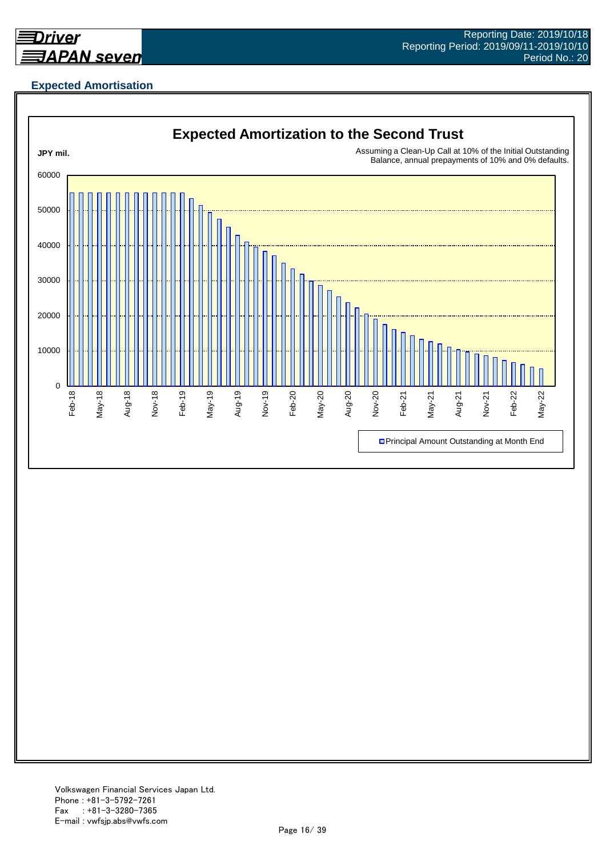

## **Expected Amortisation**

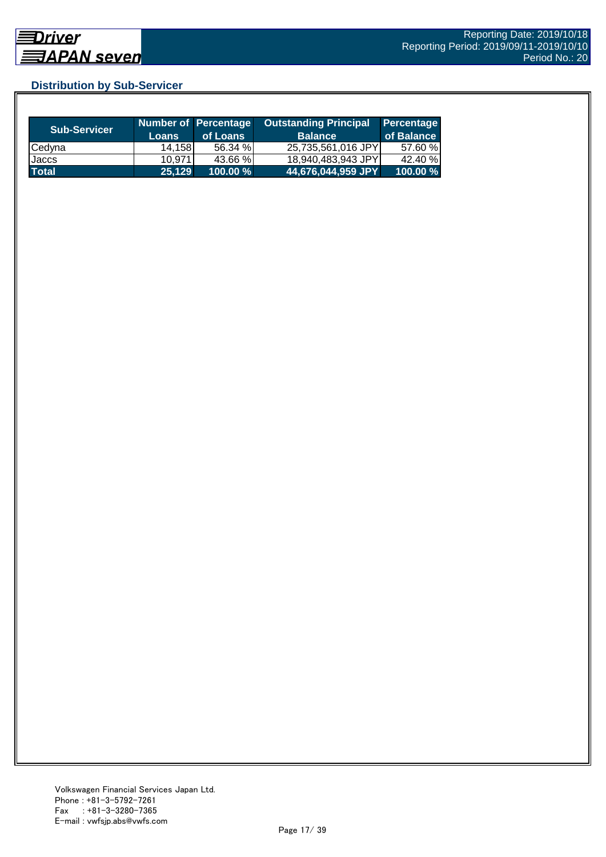## **Distribution by Sub-Servicer**

| <b>Sub-Servicer</b> | <b>Loans</b> | Number of Percentage<br>of Loans | <b>Outstanding Principal</b><br><b>Balance</b> | Percentage<br>of Balance |
|---------------------|--------------|----------------------------------|------------------------------------------------|--------------------------|
| <b>Cedyna</b>       | 14,158       | 56.34 %                          | 25,735,561,016 JPY                             | 57.60 %                  |
| Jaccs               | 10,9711      | 43.66 %                          | 18,940,483,943 JPY                             | 42.40 %                  |
| <b>Total</b>        | 25,129       | $100.00 \%$                      | 44,676,044,959 JPY                             | 100.00 %                 |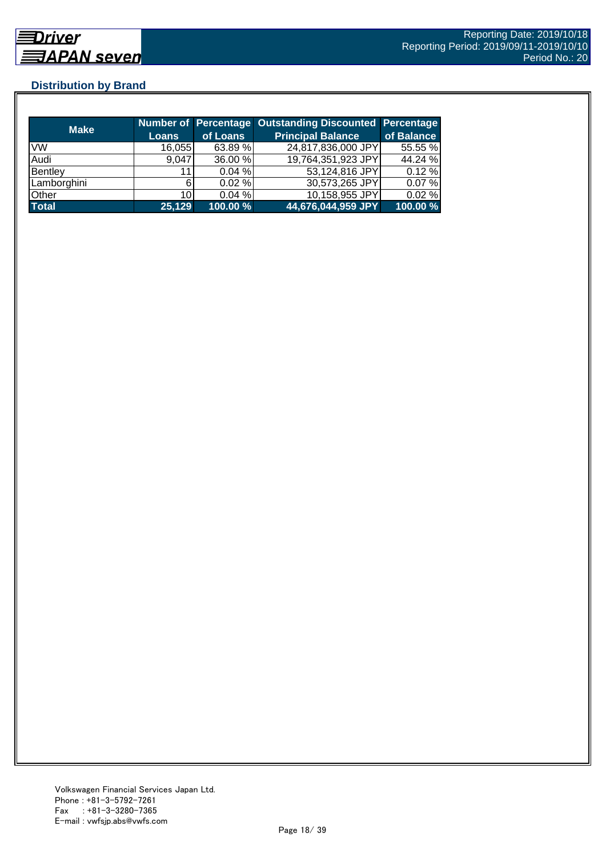## **Distribution by Brand**

| <b>Make</b>  |        |          | Number of Percentage Outstanding Discounted Percentage |            |
|--------------|--------|----------|--------------------------------------------------------|------------|
|              | Loans  | of Loans | <b>Principal Balance</b>                               | of Balance |
| <b>VW</b>    | 16,055 | 63.89 %  | 24,817,836,000 JPY                                     | 55.55 %    |
| Audi         | 9,047  | 36.00 %  | 19,764,351,923 JPY                                     | 44.24 %    |
| Bentley      | 11     | 0.04%    | 53,124,816 JPY                                         | 0.12%      |
| Lamborghini  |        | 0.02%    | 30,573,265 JPY                                         | 0.07%      |
| Other        | 10     | 0.04%    | 10,158,955 JPY                                         | 0.02%      |
| <b>Total</b> | 25,129 | 100.00%  | 44,676,044,959 JPY                                     | 100.00 %   |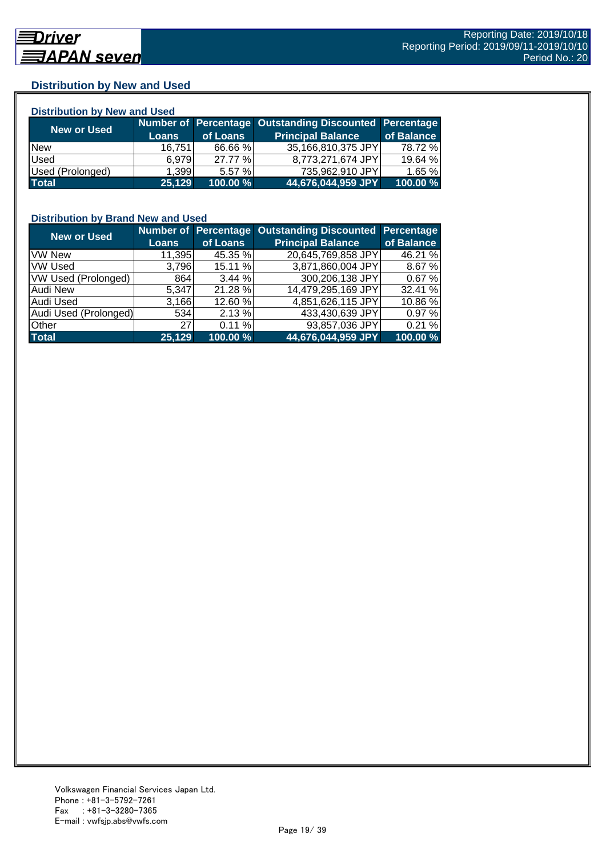#### **Distribution by New and Used**

| <b>Distribution by New and Used</b> |              |          |                                                        |            |  |  |
|-------------------------------------|--------------|----------|--------------------------------------------------------|------------|--|--|
|                                     |              |          | Number of Percentage Outstanding Discounted Percentage |            |  |  |
| <b>New or Used</b>                  | <b>Loans</b> | of Loans | <b>Principal Balance</b>                               | of Balance |  |  |
| <b>New</b>                          | 16.751       | 66.66 %  | 35,166,810,375 JPY                                     | 78.72 %    |  |  |
| Used                                | 6,979        | 27.77 %  | 8,773,271,674 JPY                                      | 19.64 %    |  |  |
| Used (Prolonged)                    | 1,399        | 5.57 %   | 735,962,910 JPY                                        | 1.65 %     |  |  |
| <b>Total</b>                        | 25,129       | 100.00 % | 44,676,044,959 JPY                                     | 100.00 %   |  |  |

#### **Distribution by Brand New and Used**

| <b>New or Used</b>         |                 |          | Number of Percentage Outstanding Discounted | <b>Percentage</b> |
|----------------------------|-----------------|----------|---------------------------------------------|-------------------|
|                            | <b>Loans</b>    | of Loans | <b>Principal Balance</b>                    | of Balance        |
| <b>VW New</b>              | 11,395          | 45.35 %  | 20,645,769,858 JPY                          | 46.21 %           |
| <b>VW Used</b>             | 3,796           | 15.11 %  | 3,871,860,004 JPY                           | 8.67%             |
| <b>VW Used (Prolonged)</b> | 864             | 3.44%    | 300,206,138 JPY                             | 0.67%             |
| <b>Audi New</b>            | 5.347           | 21.28 %  | 14,479,295,169 JPY                          | 32.41 %           |
| Audi Used                  | 3,166           | 12.60 %  | 4,851,626,115 JPY                           | 10.86 %           |
| Audi Used (Prolonged)      | 534             | 2.13%    | 433,430,639 JPY                             | $0.97 \%$         |
| <b>Other</b>               | 27 <sup>1</sup> | 0.11%    | 93,857,036 JPY                              | 0.21%             |
| <b>Total</b>               | 25,129          | 100.00 % | 44,676,044,959 JPY                          | 100.00 %          |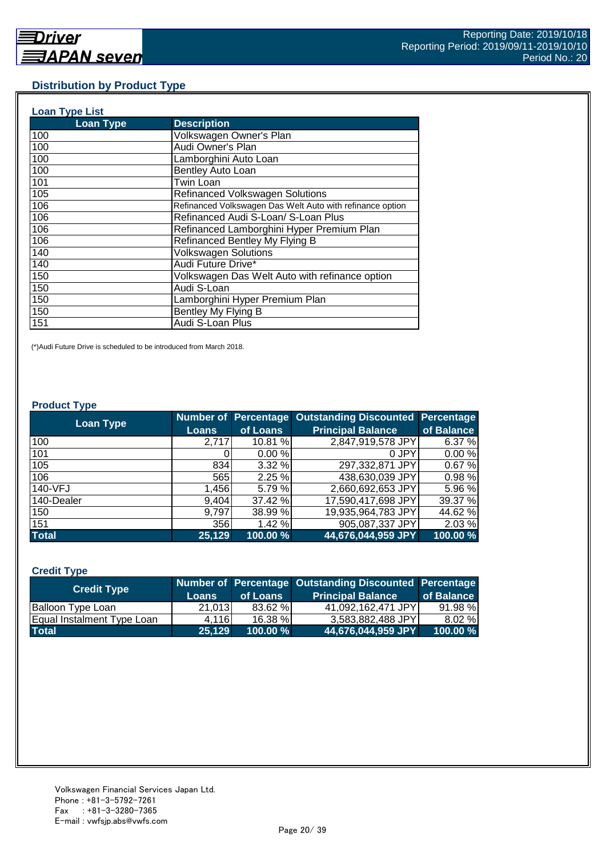#### **Distribution by Product Type**

| <b>Loan Type List</b> |                                                           |
|-----------------------|-----------------------------------------------------------|
| <b>Loan Type</b>      | <b>Description</b>                                        |
| 100                   | Volkswagen Owner's Plan                                   |
| 100                   | Audi Owner's Plan                                         |
| 100                   | Lamborghini Auto Loan                                     |
| 100                   | Bentley Auto Loan                                         |
| 101                   | Twin Loan                                                 |
| 105                   | <b>Refinanced Volkswagen Solutions</b>                    |
| 106                   | Refinanced Volkswagen Das Welt Auto with refinance option |
| 106                   | Refinanced Audi S-Loan/ S-Loan Plus                       |
| 106                   | Refinanced Lamborghini Hyper Premium Plan                 |
| 106                   | Refinanced Bentley My Flying B                            |
| 140                   | <b>Volkswagen Solutions</b>                               |
| 140                   | Audi Future Drive*                                        |
| 150                   | Volkswagen Das Welt Auto with refinance option            |
| 150                   | Audi S-Loan                                               |
| 150                   | Lamborghini Hyper Premium Plan                            |
| 150                   | Bentley My Flying B                                       |
| 151                   | Audi S-Loan Plus                                          |

(\*)Audi Future Drive is scheduled to be introduced from March 2018.

#### **Product Type**

| <b>Loan Type</b> |              |          | <b>Number of Percentage Outstanding Discounted</b> | <b>Percentage</b> |
|------------------|--------------|----------|----------------------------------------------------|-------------------|
|                  | <b>Loans</b> | of Loans | <b>Principal Balance</b>                           | of Balance        |
| 100              | 2,717        | 10.81 %  | 2,847,919,578 JPY                                  | 6.37%             |
| 101              |              | 0.00%    | 0 JPY                                              | 0.00%             |
| 105              | 834          | 3.32 %   | 297,332,871 JPY                                    | 0.67%             |
| 106              | 565          | 2.25 %   | 438,630,039 JPY                                    | 0.98%             |
| 140-VFJ          | 1,456        | 5.79 %   | 2,660,692,653 JPY                                  | 5.96 %            |
| 140-Dealer       | 9,404        | 37.42 %  | 17,590,417,698 JPY                                 | 39.37 %           |
| 150              | 9,797        | 38.99 %  | 19,935,964,783 JPY                                 | 44.62 %           |
| 151              | 356          | 1.42%    | 905,087,337 JPY                                    | 2.03 %            |
| <b>Total</b>     | 25,129       | 100.00 % | 44,676,044,959 JPY                                 | 100.00 %          |

#### **Credit Type**

| <b>Credit Type</b>         |        |             | Number of Percentage Outstanding Discounted Percentage |            |
|----------------------------|--------|-------------|--------------------------------------------------------|------------|
|                            | Loans  | of Loans    | <b>Principal Balance</b>                               | of Balance |
| <b>Balloon Type Loan</b>   | 21,013 | 83.62 %     | 41.092.162.471 JPYL                                    | 91.98%     |
| Equal Instalment Type Loan | 4,116  | 16.38 %     | 3,583,882,488 JPY                                      | $8.02\%$   |
| <b>Total</b>               | 25.129 | $100.00 \%$ | 44,676,044,959 JPY                                     | 100.00 %   |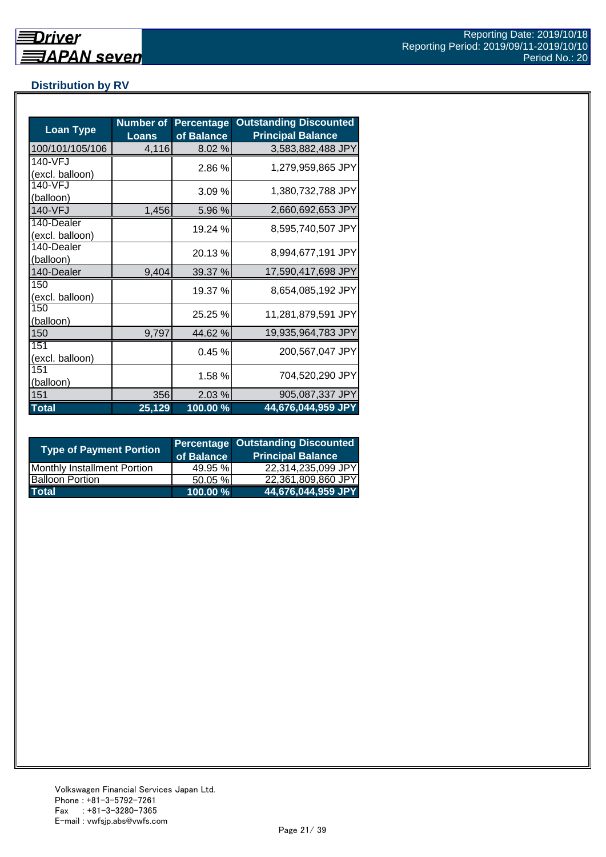## **Distribution by RV**

| <b>Loan Type</b>              | <b>Number of</b><br><b>Loans</b> | <b>Percentage</b><br>of Balance | <b>Outstanding Discounted</b><br><b>Principal Balance</b> |
|-------------------------------|----------------------------------|---------------------------------|-----------------------------------------------------------|
| 100/101/105/106               | 4,116                            | 8.02 %                          | 3,583,882,488 JPY                                         |
| 140-VFJ                       |                                  | 2.86 %                          | 1,279,959,865 JPY                                         |
| (excl. balloon)<br>140-VFJ    |                                  |                                 |                                                           |
| (balloon)                     |                                  | 3.09%                           | 1,380,732,788 JPY                                         |
| 140-VFJ                       | 1,456                            | 5.96 %                          | 2,660,692,653 JPY                                         |
| 140-Dealer                    |                                  | 19.24 %                         | 8,595,740,507 JPY                                         |
| (excl. balloon)<br>140-Dealer |                                  |                                 |                                                           |
| (balloon)                     |                                  | 20.13 %                         | 8,994,677,191 JPY                                         |
| 140-Dealer                    | 9,404                            | 39.37 %                         | 17,590,417,698 JPY                                        |
| 150<br>(excl. balloon)        |                                  | 19.37 %                         | 8,654,085,192 JPY                                         |
| 150<br>(balloon)              |                                  | 25.25 %                         | 11,281,879,591 JPY                                        |
| 150                           | 9,797                            | 44.62%                          | 19,935,964,783 JPY                                        |
| 151                           |                                  | 0.45%                           | 200,567,047 JPY                                           |
| (excl. balloon)<br>151        |                                  |                                 |                                                           |
| (balloon)                     |                                  | 1.58%                           | 704,520,290 JPY                                           |
| 151                           | 356                              | 2.03%                           | 905,087,337 JPY                                           |
| <b>Total</b>                  | 25,129                           | $100.00\%$                      | 44,676,044,959 JPY                                        |

| <b>Type of Payment Portion</b> | of Balance | <b>Percentage Outstanding Discounted</b><br><b>Principal Balance</b> |
|--------------------------------|------------|----------------------------------------------------------------------|
| Monthly Installment Portion    | 49.95 %    | 22,314,235,099 JPY                                                   |
| <b>Balloon Portion</b>         | 50.05 %    | 22,361,809,860 JPY                                                   |
| <b>Total</b>                   | 100.00 %   | 44,676,044,959 JPY                                                   |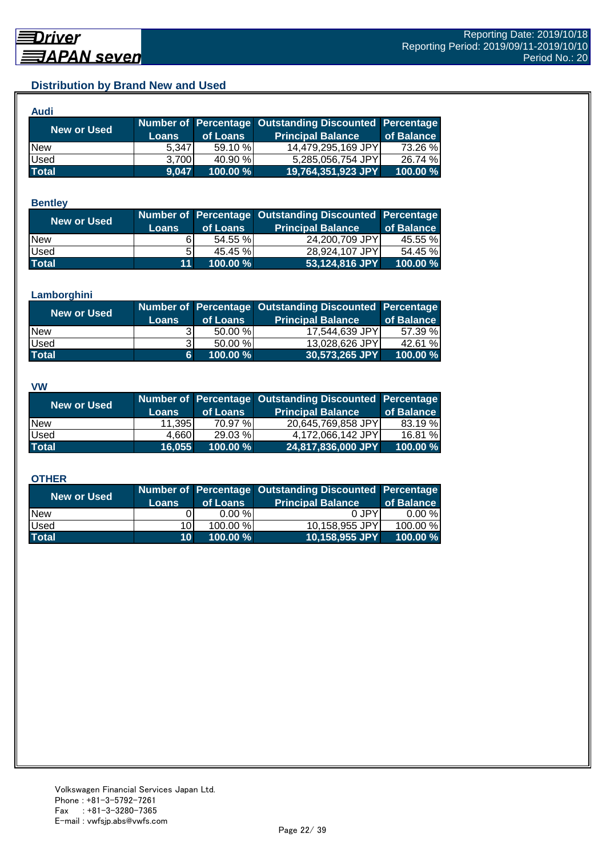## **Distribution by Brand New and Used**

| <b>Audi</b>  |              |             |                                                        |            |
|--------------|--------------|-------------|--------------------------------------------------------|------------|
| New or Used  |              |             | Number of Percentage Outstanding Discounted Percentage |            |
|              | <b>Loans</b> | of Loans    | <b>Principal Balance</b>                               | of Balance |
| <b>New</b>   | 5.347        | 59.10 %     | 14,479,295,169 JPY                                     | 73.26 %    |
| Used         | 3.700        | 40.90 %     | 5,285,056,754 JPY                                      | 26.74 %    |
| <b>Total</b> | 9,047        | $100.00 \%$ | 19,764,351,923 JPY                                     | 100.00 %   |

#### **Bentley**

| <b>New or Used</b> |                 |          | Number of Percentage Outstanding Discounted Percentage |            |
|--------------------|-----------------|----------|--------------------------------------------------------|------------|
|                    | <b>Loans</b>    | of Loans | <b>Principal Balance</b>                               | of Balance |
| <b>New</b>         |                 | 54.55 %  | 24,200,709 JPY                                         | 45.55 %    |
| <b>Used</b>        | 51              | 45.45 %  | 28,924,107 JPY                                         | 54.45 %    |
| <b>Total</b>       | 11 <sup>1</sup> | 100.00 % | 53,124,816 JPY                                         | 100.00 %   |

#### **Lamborghini**

| <b>New or Used</b> | <b>Loans</b> | of Loans | Number of Percentage Outstanding Discounted Percentage<br><b>Principal Balance</b> | of Balance |
|--------------------|--------------|----------|------------------------------------------------------------------------------------|------------|
| <b>New</b>         |              | 50.00 %  | 17,544,639 JPY                                                                     | 57.39 %    |
| <b>Used</b>        |              | 50.00 %  | 13,028,626 JPY                                                                     | 42.61 %    |
| <b>Total</b>       | 6.           | 100.00 % | 30,573,265 JPY                                                                     | 100.00 %   |

#### **VW**

| <b>New or Used</b> |              |             | Number of Percentage Outstanding Discounted Percentage |            |
|--------------------|--------------|-------------|--------------------------------------------------------|------------|
|                    | <b>Loans</b> | of Loans    | <b>Principal Balance</b>                               | of Balance |
| <b>New</b>         | 11,395       | 70.97 %     | 20,645,769,858 JPY                                     | 83.19 %    |
| <b>Used</b>        | 4.660        | 29.03 %     | 4,172,066,142 JPY                                      | 16.81 %    |
| <b>Total</b>       | 16.055       | $100.00 \%$ | 24,817,836,000 JPY                                     | 100.00 %   |

#### **OTHER**

| <b>New or Used</b> | <b>Loans</b>    | of Loans | Number of Percentage Outstanding Discounted Percentage<br><b>Principal Balance</b> | of Balance |
|--------------------|-----------------|----------|------------------------------------------------------------------------------------|------------|
| <b>New</b>         |                 | 0.00%    | 0 JPY                                                                              | $0.00 \%$  |
| Used               | 10I             | 100.00 % | 10,158,955 JPY                                                                     | 100.00 %   |
| <b>Total</b>       | 10 <sup>1</sup> | 100.00 % | 10,158,955 JPY                                                                     | 100.00 %   |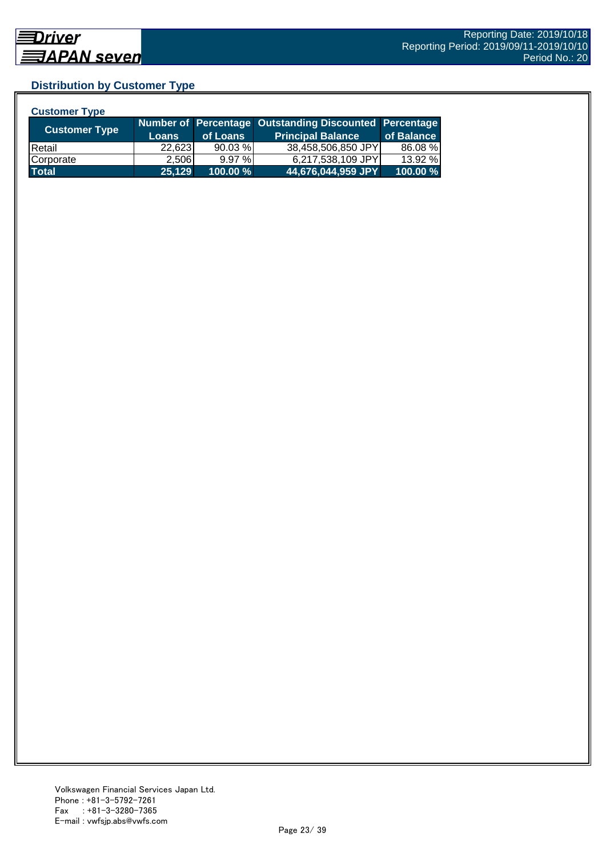## **Distribution by Customer Type**

| <b>Customer Type</b> |              |           |                                                        |            |
|----------------------|--------------|-----------|--------------------------------------------------------|------------|
|                      |              |           | Number of Percentage Outstanding Discounted Percentage |            |
| <b>Customer Type</b> | <b>Loans</b> | of Loans  | <b>Principal Balance</b>                               | of Balance |
| Retail               | 22,623       | 90.03%    | 38,458,506,850 JPY                                     | 86.08 %    |
| Corporate            | 2.506        | $9.97 \%$ | 6,217,538,109 JPY                                      | 13.92 %    |
| <b>Total</b>         | 25,129       | 100.00 %  | 44,676,044,959 JPY                                     | 100.00 %   |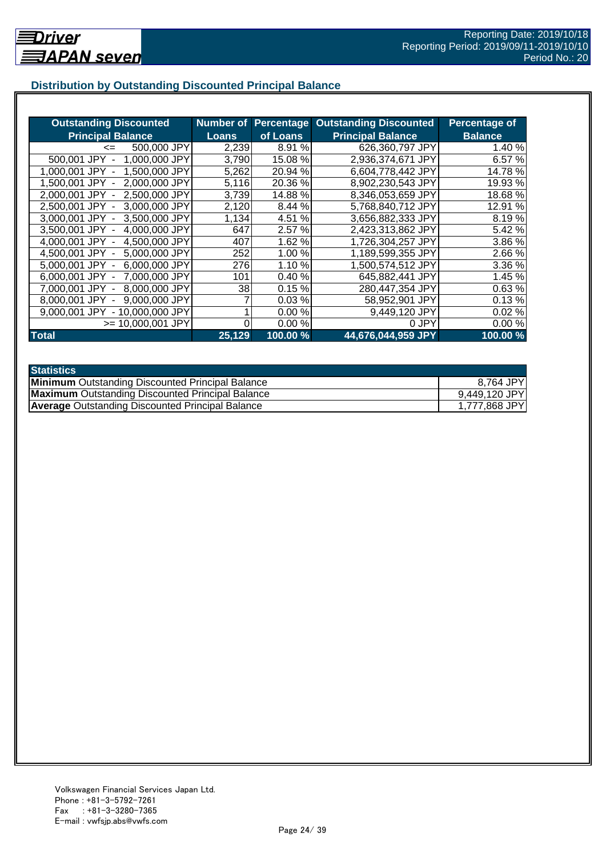## **Distribution by Outstanding Discounted Principal Balance**

| <b>Outstanding Discounted</b>     | <b>Number of</b> |          | <b>Percentage Outstanding Discounted</b> | Percentage of  |
|-----------------------------------|------------------|----------|------------------------------------------|----------------|
| <b>Principal Balance</b>          | <b>Loans</b>     | of Loans | <b>Principal Balance</b>                 | <b>Balance</b> |
| 500,000 JPY<br>$\leq$             | 2,239            | 8.91 %   | 626,360,797 JPY                          | 1.40 %         |
| 500,001 JPY<br>1.000.000 JPY      | 3,790            | 15.08 %  | 2,936,374,671 JPY                        | 6.57 %         |
| 1.500.000 JPY<br>1.000.001 JPY    | 5,262            | 20.94 %  | 6,604,778,442 JPY                        | 14.78 %        |
| 2,000,000 JPY<br>1.500.001 JPY -  | 5,116            | 20.36 %  | 8,902,230,543 JPY                        | 19.93 %        |
| 2,000,001 JPY -<br>2,500,000 JPY  | 3,739            | 14.88%   | 8,346,053,659 JPY                        | 18.68 %        |
| 2.500.001 JPY -<br>3.000.000 JPY  | 2,120            | 8.44 %   | 5,768,840,712 JPY                        | 12.91 %        |
| 3,000,001 JPY -<br>3,500,000 JPY  | 1,134            | 4.51 %   | 3,656,882,333 JPY                        | 8.19%          |
| 4,000,000 JPY<br>3,500,001 JPY -  | 647              | 2.57%    | 2,423,313,862 JPY                        | 5.42 %         |
| 4,000,001 JPY -<br>4,500,000 JPY  | 407              | 1.62 %   | 1,726,304,257 JPY                        | 3.86 %         |
| 4,500,001 JPY -<br>5,000,000 JPY  | 252              | 1.00 %   | 1,189,599,355 JPY                        | 2.66%          |
| 6,000,000 JPY<br>5,000,001 JPY -  | 276              | 1.10 %   | 1,500,574,512 JPY                        | 3.36 %         |
| 7,000,000 JPY<br>6,000,001 JPY -  | 101              | 0.40%    | 645,882,441 JPY                          | 1.45 %         |
| 8,000,000 JPY<br>7,000,001 JPY -  | 38               | 0.15%    | 280,447,354 JPY                          | 0.63%          |
| 9,000,000 JPY<br>8.000.001 JPY    |                  | 0.03%    | 58,952,901 JPY                           | 0.13%          |
| 9.000.001 JPY<br>- 10,000,000 JPY |                  | 0.00%    | 9,449,120 JPY                            | 0.02%          |
| $>= 10,000,001$ JPY               |                  | 0.00%    | 0 JPY                                    | 0.00%          |
| <b>Total</b>                      | 25,129           | 100.00 % | 44,676,044,959 JPY                       | 100.00 %       |

| <b>Statistics</b>                                       |               |
|---------------------------------------------------------|---------------|
| <b>Minimum</b> Outstanding Discounted Principal Balance | 8,764 JPY     |
| <b>Maximum</b> Outstanding Discounted Principal Balance | 9,449,120 JPY |
| <b>Average Outstanding Discounted Principal Balance</b> | 1,777,868 JPY |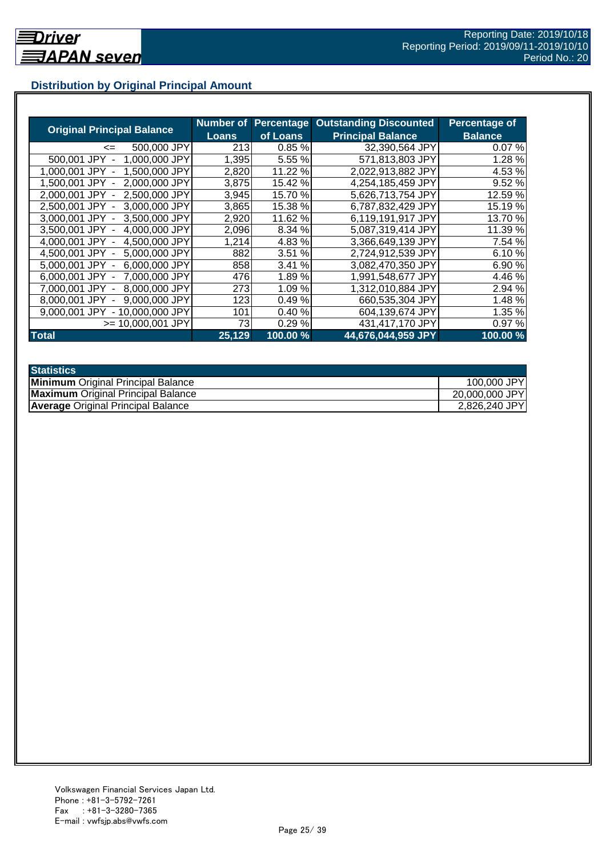## **Distribution by Original Principal Amount**

|                                           | Number of |          | <b>Percentage Outstanding Discounted</b> | <b>Percentage of</b> |
|-------------------------------------------|-----------|----------|------------------------------------------|----------------------|
| <b>Original Principal Balance</b>         | Loans     | of Loans | <b>Principal Balance</b>                 | <b>Balance</b>       |
| 500,000 JPY<br><=                         | 213I      | 0.85%    | 32,390,564 JPY                           | 0.07%                |
| 1,000,000 JPY<br>500,001 JPY              | 1,395     | 5.55 %   | 571,813,803 JPY                          | 1.28 %               |
| 1,500,000 JPY<br>1.000.001 JPY            | 2,820     | 11.22 %  | 2,022,913,882 JPY                        | 4.53 %               |
| 2.000.000 JPY<br>1.500.001 JPY            | 3,875     | 15.42 %  | 4,254,185,459 JPY                        | 9.52 %               |
| 2,500,000 JPY<br>2.000.001 JPY -          | 3,945     | 15.70 %  | 5,626,713,754 JPY                        | 12.59 %              |
| 2,500,001 JPY -<br>3,000,000 JPY          | 3,865     | 15.38 %  | 6,787,832,429 JPY                        | 15.19 %              |
| 3.000.001 JPY -<br>3.500,000 JPY          | 2,920     | 11.62 %  | 6,119,191,917 JPY                        | 13.70 %              |
| 3,500,001 JPY -<br>4,000,000 JPY          | 2,096     | 8.34 %   | 5,087,319,414 JPY                        | 11.39 %              |
| 4,500,000 JPY<br>4.000.001 JPY -          | 1,214     | 4.83 %   | 3,366,649,139 JPY                        | 7.54 %               |
| 4,500,001 JPY -<br>5,000,000 JPY          | 882       | 3.51 %   | 2,724,912,539 JPY                        | 6.10%                |
| 6,000,000 JPY<br>5.000.001 JPY -          | 858       | 3.41 %   | 3,082,470,350 JPY                        | 6.90%                |
| 7,000,000 JPY<br>6.000.001 JPY -          | 476       | 1.89%    | 1,991,548,677 JPY                        | 4.46%                |
| 8,000,000 JPY<br>7.000.001 JPY -          | 273       | 1.09%    | 1,312,010,884 JPY                        | 2.94 %               |
| 9,000,000 JPY<br>8.000.001 JPY            | 123       | 0.49%    | 660,535,304 JPY                          | 1.48%                |
| 9.000.001 JPY<br>10.000.000 JPY<br>$\sim$ | 101       | 0.40%    | 604,139,674 JPY                          | 1.35 %               |
| >= 10.000.001 JPY                         | 73        | 0.29%    | 431,417,170 JPY                          | 0.97%                |
| <b>Total</b>                              | 25,129    | 100.00 % | 44,676,044,959 JPY                       | 100.00%              |

| <b>Statistics</b>                         |                |
|-------------------------------------------|----------------|
| <b>Minimum</b> Original Principal Balance | 100,000 JPY    |
| <b>Maximum</b> Original Principal Balance | 20,000,000 JPY |
| <b>Average Original Principal Balance</b> | 2,826,240 JPY  |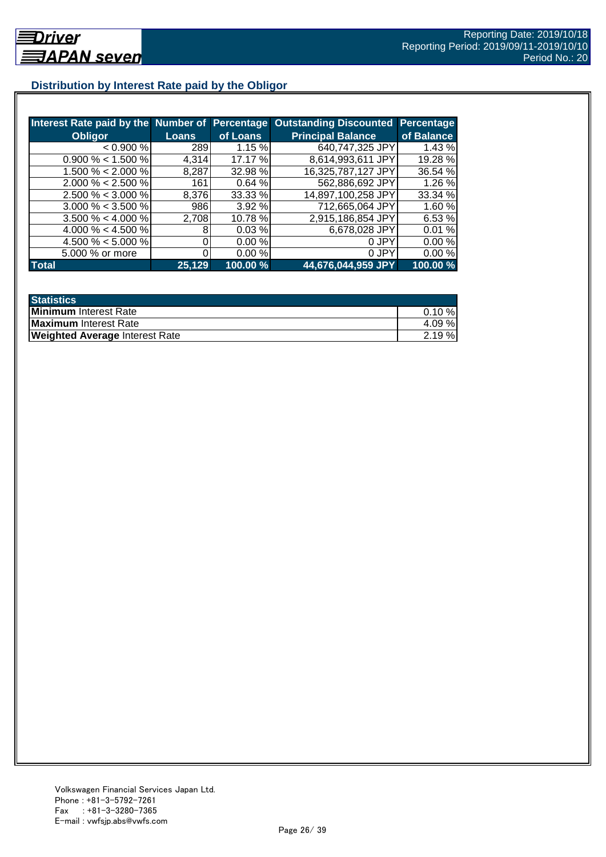## **Distribution by Interest Rate paid by the Obligor**

| Interest Rate paid by the Number of Percentage |              |          | <b>Outstanding Discounted</b> | <b>Percentage</b> |
|------------------------------------------------|--------------|----------|-------------------------------|-------------------|
| <b>Obligor</b>                                 | <b>Loans</b> | of Loans | <b>Principal Balance</b>      | of Balance        |
| < 0.900 %                                      | 289          | 1.15%    | 640,747,325 JPY               | 1.43 %            |
| $0.900\% < 1.500\%$                            | 4,314        | 17.17 %  | 8,614,993,611 JPY             | 19.28 %           |
| 1.500 % < 2.000 %                              | 8,287        | 32.98 %  | 16,325,787,127 JPY            | 36.54 %           |
| $2.000\% < 2.500\%$                            | 161          | 0.64%    | 562,886,692 JPY               | 1.26 %            |
| $2.500\% < 3.000\%$                            | 8.376        | 33.33 %  | 14,897,100,258 JPY            | 33.34 %           |
| $3.000\% < 3.500\%$                            | 986          | 3.92%    | 712,665,064 JPY               | 1.60%             |
| $3.500\% < 4.000\%$                            | 2,708        | 10.78 %  | 2,915,186,854 JPY             | 6.53%             |
| 4.000 % < 4.500 %                              |              | 0.03%    | 6,678,028 JPY                 | 0.01%             |
| 4.500 % $<$ 5.000 %                            |              | 0.00%    | 0 JPY                         | 0.00%             |
| 5.000 % or more                                |              | 0.00 %   | 0 JPY                         | 0.00%             |
| <b>Total</b>                                   | 25,129       | 100.00 % | 44,676,044,959 JPY            | 100.00 %          |

| <b>Statistics</b>                     |           |
|---------------------------------------|-----------|
| Minimum Interest Rate                 | $0.10 \%$ |
| Maximum Interest Rate                 | 4.09 %    |
| <b>Weighted Average Interest Rate</b> | 2.19%     |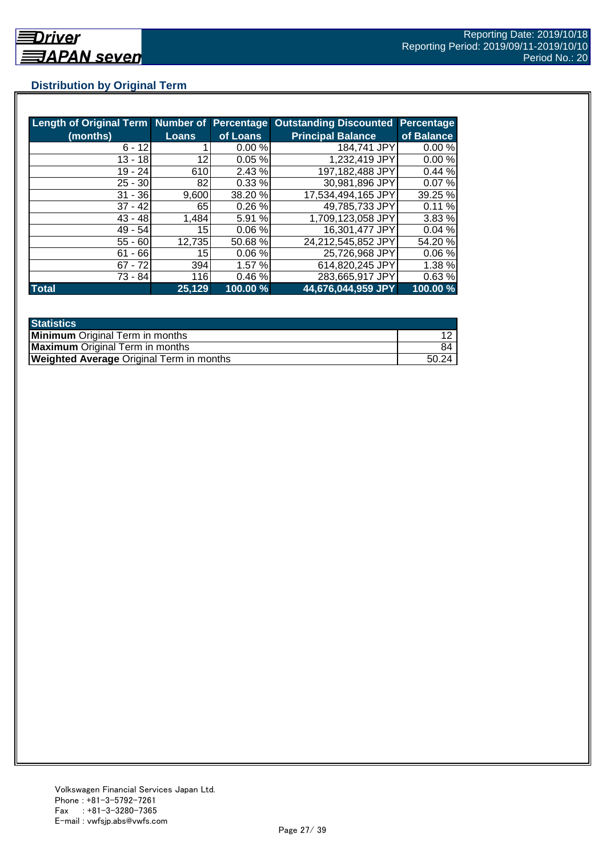## **Distribution by Original Term**

| Length of Original Term Number of Percentage |                 |          | <b>Outstanding Discounted</b> | <b>Percentage</b> |
|----------------------------------------------|-----------------|----------|-------------------------------|-------------------|
| (months)                                     | <b>Loans</b>    | of Loans | <b>Principal Balance</b>      | of Balance        |
| $6 - 12$                                     |                 | 0.00 %   | 184,741 JPY                   | 0.00%             |
| $13 - 18$                                    | 12 <sub>l</sub> | 0.05%    | 1,232,419 JPY                 | 0.00%             |
| $19 - 24$                                    | 610             | 2.43%    | 197,182,488 JPY               | 0.44%             |
| $25 - 30$                                    | 82              | 0.33%    | 30,981,896 JPY                | 0.07%             |
| $31 - 36$                                    | 9,600           | 38.20 %  | 17,534,494,165 JPY            | 39.25 %           |
| $37 - 42$                                    | 65I             | 0.26%    | 49,785,733 JPY                | 0.11%             |
| $43 - 48$                                    | 1,484           | 5.91 %   | 1,709,123,058 JPY             | 3.83 %            |
| $49 - 54$                                    | 15              | 0.06%    | 16,301,477 JPY                | 0.04%             |
| $55 - 60$                                    | 12,735          | 50.68 %  | 24,212,545,852 JPY            | 54.20 %           |
| $61 - 66$                                    | 15              | 0.06%    | 25,726,968 JPY                | 0.06%             |
| $67 - 72$                                    | 394             | 1.57%    | 614,820,245 JPY               | 1.38 %            |
| 73 - 84                                      | 116             | 0.46%    | 283,665,917 JPY               | 0.63%             |
| <b>Total</b>                                 | 25.129          | 100.00 % | 44,676,044,959 JPY            | 100.00 %          |

| <b>Statistics</b>                               |       |
|-------------------------------------------------|-------|
| <b>Minimum</b> Original Term in months          |       |
| <b>Maximum</b> Original Term in months          | 84    |
| <b>Weighted Average Original Term in months</b> | 50.24 |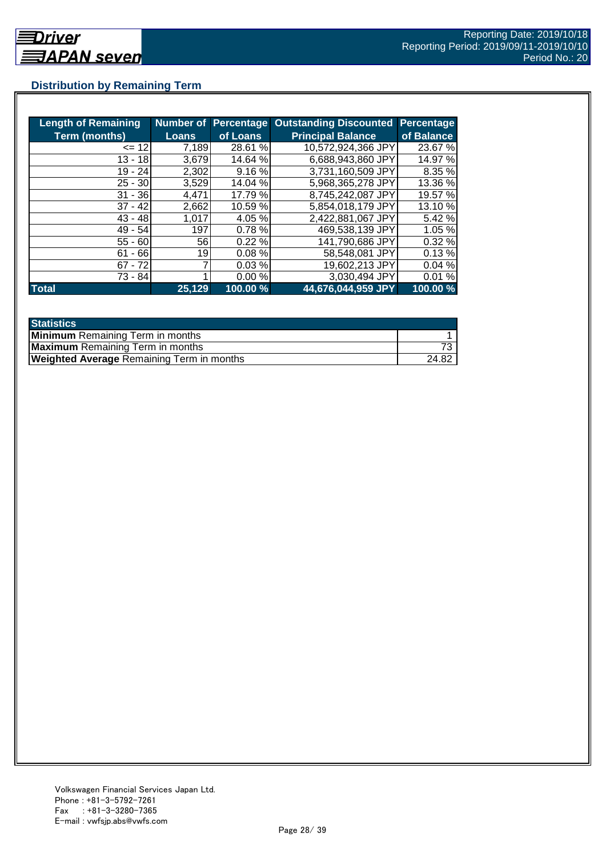## **Distribution by Remaining Term**

| <b>Length of Remaining</b> |              | <b>Number of Percentage</b> | <b>Outstanding Discounted</b> | <b>Percentage</b> |
|----------------------------|--------------|-----------------------------|-------------------------------|-------------------|
| <b>Term (months)</b>       | <b>Loans</b> | of Loans                    | <b>Principal Balance</b>      | of Balance        |
| $= 12$                     | 7,189        | 28.61 %                     | 10,572,924,366 JPY            | 23.67 %           |
| $13 - 18$                  | 3,679        | 14.64 %                     | 6,688,943,860 JPY             | 14.97 %           |
| $19 - 24$                  | 2,302        | 9.16 %                      | 3,731,160,509 JPY             | 8.35 %            |
| $25 - 30$                  | 3,529        | 14.04 %                     | 5.968,365,278 JPY             | 13.36 %           |
| $31 - 36$                  | 4,471        | 17.79 %                     | 8,745,242,087 JPY             | 19.57 %           |
| $37 - 42$                  | 2,662        | 10.59 %                     | 5,854,018,179 JPY             | 13.10 %           |
| $43 - 48$                  | 1,017        | 4.05 %                      | 2,422,881,067 JPY             | 5.42 %            |
| 49 - 54                    | 197          | 0.78%                       | 469,538,139 JPY               | 1.05%             |
| $55 - 60$                  | 56           | 0.22%                       | 141,790,686 JPY               | 0.32%             |
| $61 - 66$                  | 19           | 0.08%                       | 58,548,081 JPY                | 0.13%             |
| $67 - 72$                  |              | 0.03%                       | 19,602,213 JPY                | 0.04%             |
| 73 - 84                    |              | 0.00%                       | 3,030,494 JPY                 | 0.01%             |
| <b>Total</b>               | 25,129       | 100.00 %                    | 44,676,044,959 JPY            | 100.00 %          |

| <b>Statistics</b>                                |       |
|--------------------------------------------------|-------|
| <b>Minimum</b> Remaining Term in months          |       |
| <b>Maximum</b> Remaining Term in months          |       |
| <b>Weighted Average Remaining Term in months</b> | 24.82 |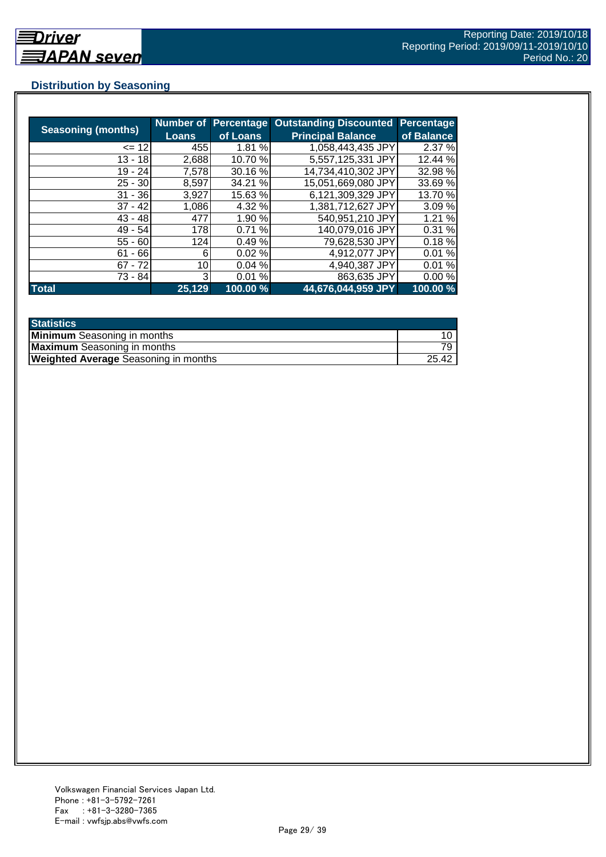## **Distribution by Seasoning**

|                           |                 |          | <b>Number of Percentage Outstanding Discounted</b> | Percentage |
|---------------------------|-----------------|----------|----------------------------------------------------|------------|
| <b>Seasoning (months)</b> | <b>Loans</b>    | of Loans | <b>Principal Balance</b>                           | of Balance |
| $= 12$                    | 455             | 1.81 %   | 1,058,443,435 JPY                                  | 2.37 %     |
| $13 - 18$                 | 2,688           | 10.70 %  | 5,557,125,331 JPY                                  | 12.44 %    |
| $19 - 24$                 | 7,578           | 30.16 %  | 14,734,410,302 JPY                                 | 32.98 %    |
| $25 - 30$                 | 8,597           | 34.21 %  | 15,051,669,080 JPY                                 | 33.69 %    |
| $31 - 36$                 | 3,927           | 15.63 %  | 6,121,309,329 JPY                                  | 13.70 %    |
| $37 - 42$                 | 1,086           | 4.32 %   | 1,381,712,627 JPY                                  | 3.09%      |
| $43 - 48$                 | 477             | 1.90 %   | 540,951,210 JPY                                    | 1.21 %     |
| 49 - 54                   | 178             | 0.71%    | 140,079,016 JPY                                    | 0.31%      |
| $55 - 60$                 | 124             | 0.49%    | 79,628,530 JPY                                     | 0.18%      |
| $61 - 66$                 | 6               | 0.02%    | 4,912,077 JPY                                      | 0.01%      |
| $67 - 72$                 | 10 <sup>1</sup> | 0.04%    | 4,940,387 JPY                                      | 0.01%      |
| 73 - 84                   | 3               | 0.01%    | 863,635 JPY                                        | 0.00%      |
| <b>Total</b>              | 25,129          | 100.00 % | 44,676,044,959 JPY                                 | 100.00 %   |

| <b>Statistics</b>                           |       |
|---------------------------------------------|-------|
| <b>Minimum</b> Seasoning in months          |       |
| <b>Maximum</b> Seasoning in months          |       |
| <b>Weighted Average Seasoning in months</b> | 25.42 |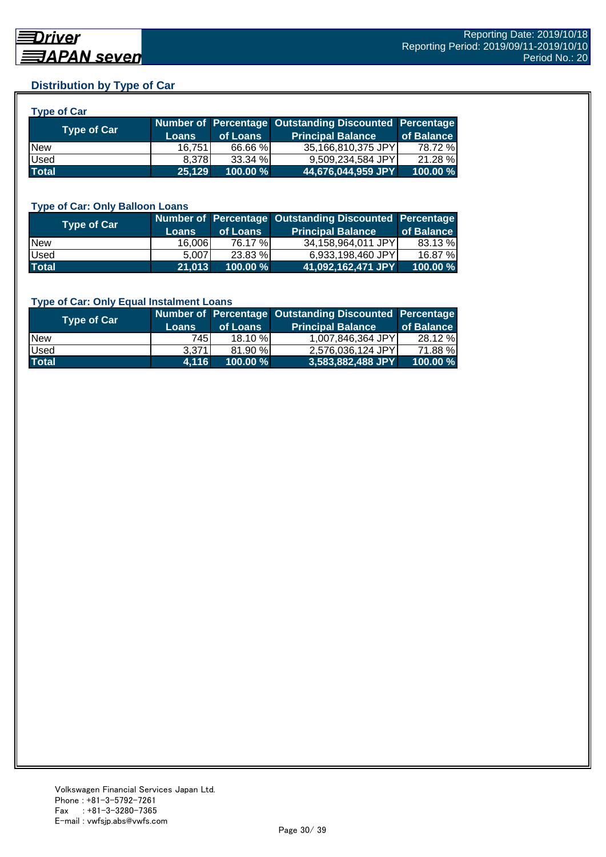## **Distribution by Type of Car**

| <b>Type of Car</b> |              |          |                                                        |            |
|--------------------|--------------|----------|--------------------------------------------------------|------------|
|                    |              |          | Number of Percentage Outstanding Discounted Percentage |            |
| <b>Type of Car</b> | <b>Loans</b> | of Loans | <b>Principal Balance</b>                               | of Balance |
| <b>New</b>         | 16,751       | 66.66 %  | 35,166,810,375 JPY                                     | 78.72 %    |
| Used               | 8.378        | 33.34 %  | 9,509,234,584 JPY                                      | 21.28%     |
| <b>Total</b>       | 25,129       | 100.00 % | 44,676,044,959 JPY                                     | 100.00 %   |

#### **Type of Car: Only Balloon Loans**

| Type of Car  | <b>Loans</b> | of Loans | Number of Percentage Outstanding Discounted Percentage<br><b>Principal Balance</b> | of Balance |
|--------------|--------------|----------|------------------------------------------------------------------------------------|------------|
| <b>New</b>   | 16,006       | 76.17 %  | 34.158.964.011 JPYL                                                                | 83.13 %    |
| Used         | 5.007        | 23.83 %  | 6,933,198,460 JPY                                                                  | 16.87 %    |
| <b>Total</b> | 21,013       | 100.00 % | 41,092,162,471 JPY                                                                 | 100.00%    |

#### **Type of Car: Only Equal Instalment Loans**

| <b>Type of Car</b> |              |             | Number of Percentage Outstanding Discounted Percentage |            |
|--------------------|--------------|-------------|--------------------------------------------------------|------------|
|                    | <b>Loans</b> | of Loans    | <b>Principal Balance</b>                               | of Balance |
| <b>New</b>         | 745I         | 18.10%      | 1,007,846,364 JPY                                      | 28.12 %    |
| Used               | 3.371        | 81.90%      | 2,576,036,124 JPY                                      | 71.88 %    |
| <b>Total</b>       | 4.116        | $100.00 \%$ | 3,583,882,488 JPY                                      | 100.00 %   |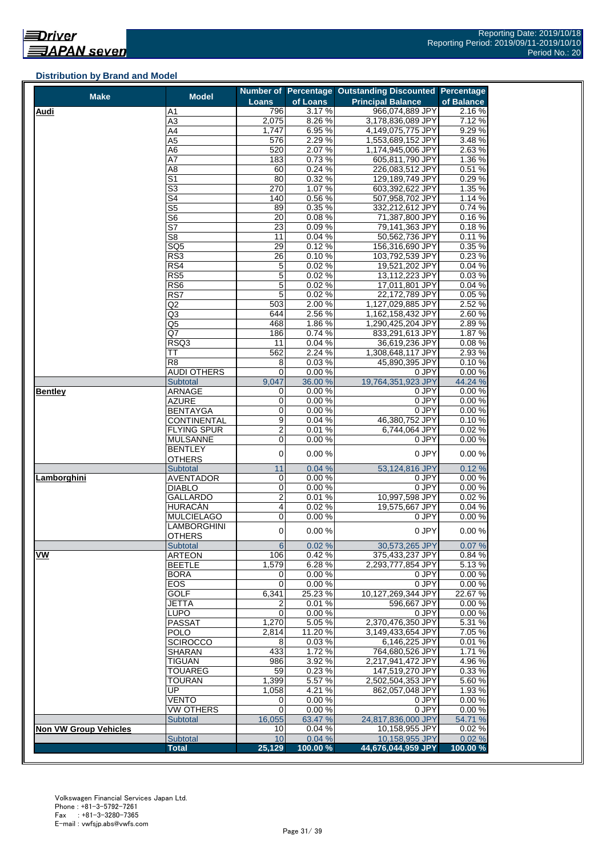#### **Distribution by Brand and Model**

| <b>Make</b><br><b>Model</b>                     |                  |                  | Number of Percentage Outstanding Discounted Percentage |                 |
|-------------------------------------------------|------------------|------------------|--------------------------------------------------------|-----------------|
|                                                 | Loans            | of Loans         | <b>Principal Balance</b>                               | of Balance      |
| Audi<br>Α1                                      | 796              | 3.17%            | 966,074,889 JPY                                        | 2.16 %          |
| $\overline{A3}$                                 | 2,075            | 8.26%            | 3,178,836,089 JPY                                      | 7.12%           |
| A4                                              | 1,747            | 6.95%            | 4,149,075,775 JPY                                      | 9.29%           |
| A5                                              | 576<br>520       | 2.29%            | 1,553,689,152 JPY                                      | 3.48 %          |
| A6<br>A7                                        | 183              | 2.07%<br>0.73%   | 1,174,945,006 JPY                                      | 2.63%<br>1.36 % |
| A8                                              | 60               | 0.24 %           | 605,811,790 JPY<br>226,083,512 JPY                     | 0.51%           |
| S1                                              | 80               | 0.32%            | 129,189,749 JPY                                        | 0.29%           |
| $\overline{\mathbb{S}^3}$                       | 270              | 1.07%            | 603,392,622 JPY                                        | 1.35 %          |
| S4                                              | 140              | 0.56%            | 507,958,702 JPY                                        | 1.14 %          |
| S5                                              | 89               | 0.35%            | 332,212,612 JPY                                        | 0.74 %          |
| S6                                              | 20               | 0.08%            | 71,387,800 JPY                                         | 0.16%           |
| S7                                              | $\overline{23}$  | 0.09%            | 79,141,363 JPY                                         | 0.18%           |
| S8                                              | 11               | 0.04%            | 50,562,736 JPY                                         | 0.11%           |
| $\overline{SQ5}$                                | 29               | 0.12%            | 156,316,690 JPY                                        | 0.35%           |
| RS3                                             | 26               | 0.10%            | 103,792,539 JPY                                        | 0.23%           |
| RS4                                             | $\mathbf 5$      | 0.02%            | 19,521,202 JPY                                         | 0.04%           |
| RS5                                             | 5                | 0.02%            | 13,112,223 JPY                                         | 0.03%           |
| RS6                                             | 5                | 0.02%            | 17,011,801 JPY                                         | 0.04%           |
| RS7                                             | 5                | 0.02%            | 22.172.789 JPY                                         | 0.05%           |
| Q2                                              | 503              | 2.00%            | 1,127,029,885 JPY                                      | 2.52 %          |
| $\overline{\mathsf{Q3}}$                        | 644              | 2.56%            | 1,162,158,432 JPY                                      | 2.60%           |
| Q5                                              | 468              | 1.86%            | 1,290,425,204 JPY                                      | 2.89%           |
| Q7                                              | 186              | 0.74%            | 833,291,613 JPY                                        | 1.87%           |
| RSQ3                                            | 11               | 0.04%            | 36,619,236 JPY                                         | 0.08%           |
| TΤ                                              | 562              | 2.24 %           | 1,308,648,117 JPY                                      | 2.93 %          |
| R <sub>8</sub>                                  | 8                | 0.03%            | 45,890,395 JPY                                         | 0.10%           |
| AUDI OTHERS                                     | 0                | 0.00%            | 0 JPY                                                  | 0.00%           |
| <b>Subtotal</b>                                 | 9,047            | 36.00 %          | 19,764,351,923 JPY                                     | 44.24 %         |
| <b>ARNAGE</b><br><b>Bentley</b>                 | 0                | 0.00%            | 0 JPY                                                  | 0.00%           |
| AZURE                                           | $\mathbf 0$      | 0.00%            | 0 JPY                                                  | 0.00%           |
| <b>BENTAYGA</b>                                 | 0                | 0.00%            | 0 JPY                                                  | 0.00%           |
| CONTINENTAL                                     | 9                | 0.04%            | 46,380,752 JPY                                         | 0.10%           |
| <b>FLYING SPUR</b>                              | $\boldsymbol{2}$ | 0.01%            | 6,744,064 JPY                                          | 0.02%           |
| MULSANNE                                        | 0                | 0.00%            | 0 JPY                                                  | 0.00%           |
| BENTLEY<br><b>OTHERS</b>                        | $\mathbf 0$      | 0.00%            | 0 JPY                                                  | 0.00%           |
| Subtotal                                        | 11               | 0.04%            | 53,124,816 JPY                                         | 0.12%           |
| Lamborghini<br>AVENTADOR                        | 0                | 0.00%            | 0 JPY                                                  | 0.00%           |
| <b>DIABLO</b>                                   | $\mathbf 0$      | 0.00%            | 0 JPY                                                  | 0.00%           |
| GALLARDO                                        | $\overline{2}$   | 0.01%            | 10,997,598 JPY                                         | 0.02%           |
| HURACÁN                                         | $\overline{4}$   | 0.02%            | 19,575,667 JPY                                         | 0.04%           |
| <b>MULCIELAGO</b>                               | $\mathsf 0$      | 0.00%            | 0 JPY                                                  | 0.00%           |
| LAMBORGHINI                                     |                  |                  |                                                        |                 |
| <b>OTHERS</b>                                   | $\pmb{0}$        | 0.00%            | 0 JPY                                                  | 0.00%           |
| Subtotal                                        | 6                | 0.02%            | 30,573,265 JPY                                         | 0.07%           |
| VW<br><b>ARTEON</b>                             | 106              | 0.42%            | 375,433,237 JPY                                        | 0.84%           |
| <b>BEETLE</b>                                   | 1,579            | 6.28%            | 2,293,777,854 JPY                                      | 5.13%           |
| <b>BORA</b>                                     | 0                | 0.00%            | 0 JPY                                                  | 0.00%           |
| EOS                                             | 0                | 0.00%            | 0 JPY                                                  | 0.00%           |
| GOLF                                            | 6,341            | 25.23 %          | 10,127,269,344 JPY                                     | 22.67%          |
| JETTA                                           | 2                | 0.01%            | 596,667 JPY                                            | 0.00%           |
| LUPO                                            | $\overline{0}$   | 0.00%            | 0 JPY                                                  | 0.00%           |
| PASSAT                                          | 1,270            | 5.05%            | 2,370,476,350 JPY                                      | 5.31 %          |
| POLO                                            | 2,814            | 11.20%           | 3,149,433,654 JPY                                      | 7.05 %          |
| <b>SCIROCCO</b>                                 | 8                | 0.03%            | 6,146,225 JPY                                          | 0.01%           |
| SHARAN                                          | 433              | 1.72%<br>3.92%   | 764,680,526 JPY                                        | 1.71%<br>4.96%  |
| <b>TIGUAN</b><br><b>TOUAREG</b>                 | 986<br>59        | 0.23%            | 2,217,941,472 JPY<br>147,519,270 JPY                   | 0.33%           |
| <b>TOURAN</b>                                   | 1,399            | 5.57%            | 2,502,504,353 JPY                                      | 5.60%           |
| UP                                              | 1,058            | 4.21 %           | 862,057,048 JPY                                        | 1.93%           |
| VENTO                                           | 0                | 0.00%            | 0 JPY                                                  | 0.00%           |
| <b>VW OTHERS</b>                                |                  |                  |                                                        |                 |
|                                                 |                  |                  |                                                        |                 |
|                                                 | 0                | 0.00%            | 0 JPY                                                  | 0.00%           |
| <b>Subtotal</b>                                 | 16,055<br>10     | 63.47 %<br>0.04% | 24,817,836,000 JPY                                     | 54.71 %         |
| <b>Non VW Group Vehicles</b><br><b>Subtotal</b> | 10               | 0.04%            | 10,158,955 JPY<br>10,158,955 JPY                       | 0.02%<br>0.02%  |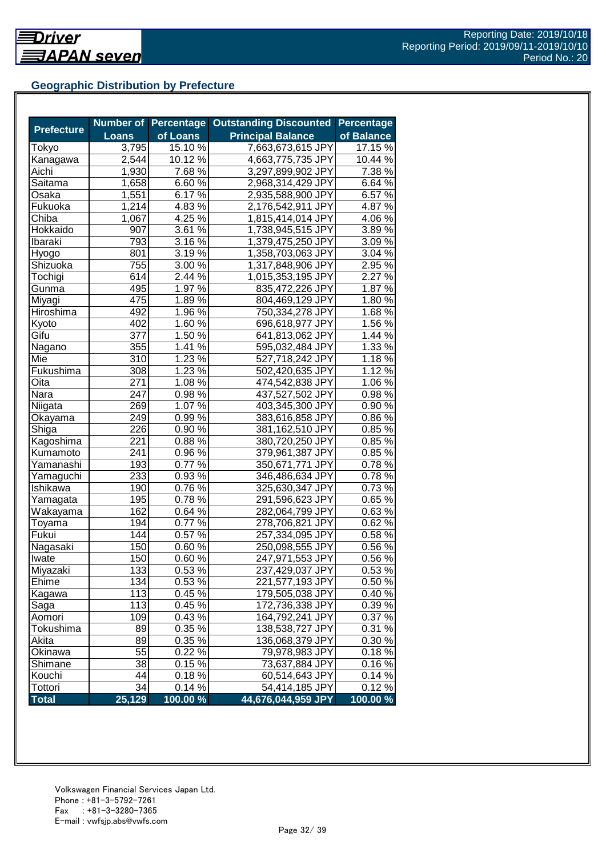## **Geographic Distribution by Prefecture**

|                   |              | <b>Number of Percentage</b> | <b>Outstanding Discounted</b> | <b>Percentage</b> |
|-------------------|--------------|-----------------------------|-------------------------------|-------------------|
| <b>Prefecture</b> | <b>Loans</b> | of Loans                    | <b>Principal Balance</b>      | of Balance        |
| Tokyo             | 3,795        | 15.10 %                     | 7,663,673,615 JPY             | 17.15 %           |
| Kanagawa          | 2,544        | 10.12 %                     | 4,663,775,735 JPY             | 10.44 %           |
| Aichi             | 1,930        | 7.68 %                      | 3,297,899,902 JPY             | 7.38 %            |
| Saitama           | 1,658        | 6.60%                       | 2,968,314,429 JPY             | 6.64 %            |
| Osaka             | 1,551        | 6.17%                       | 2,935,588,900 JPY             | 6.57 %            |
| Fukuoka           | 1,214        | 4.83 $\sqrt{2}$             | 2,176,542,911 JPY             | 4.87%             |
| Chiba             | 1,067        | $4.25\,\sqrt{2}$            | 1,815,414,014 JPY             | 4.06%             |
| Hokkaido          | 907          | 3.61 $\sqrt{8}$             | 1,738,945,515 JPY             | $3.89\%$          |
| Ibaraki           | 793          | 3.16 %                      | 1,379,475,250 JPY             | 3.09%             |
| Hyogo             | 801          | 3.19 $\sqrt{8}$             | 1,358,703,063 JPY             | $3.04\%$          |
| Shizuoka          | 755          | 3.00 %                      | 1,317,848,906 JPY             | 2.95 %            |
| Tochigi           | 614          | 2.44 %                      | 1,015,353,195 JPY             | 2.27%             |
| Gunma             | 495          | 1.97 %                      | 835,472,226 JPY               | 1.87%             |
| Miyagi            | 475          | 1.89%                       | 804,469,129 JPY               | 1.80%             |
| Hiroshima         | 492          | 1.96 %                      | 750,334,278 JPY               | 1.68%             |
| Kyoto             | 402          | 1.60%                       | 696,618,977 JPY               | 1.56 %            |
| Gifu              | 377          | 1.50 %                      | 641,813,062 JPY               | 1.44 %            |
| Nagano            | 355          | $1.41\%$                    | 595,032,484 JPY               | 1.33 %            |
| Mie               | 310          | $1.23\%$                    | 527,718,242 JPY               | 1.18%             |
| Fukushima         | 308          | $1.23\%$                    | 502,420,635 JPY               | 1.12 %            |
| Oita              | 271          | $1.08\%$                    | 474,542,838 JPY               | 1.06 %            |
| Nara              | 247          | $0.98\%$                    | 437,527,502 JPY               | 0.98%             |
| Niigata           | 269          | 1.07 %                      | 403,345,300 JPY               | 0.90%             |
| Okayama           | 249          | 0.99%                       | 383,616,858 JPY               | 0.86%             |
| Shiga             | 226          | $0.90\,\sqrt{2}$            | 381,162,510 JPY               | 0.85%             |
| Kagoshima         | 221          | 0.88%                       | 380,720,250 JPY               | 0.85%             |
| Kumamoto          | 241          | 0.96 %                      | 379,961,387 JPY               | 0.85 %            |
| Yamanashi         | 193          | 0.77 %                      | 350,671,771 JPY               | 0.78%             |
| Yamaguchi         | 233          | 0.93%                       | 346,486,634 JPY               | 0.78%             |
| Ishikawa          | 190          | 0.76%                       | 325,630,347 JPY               | 0.73%             |
| Yamagata          | 195          | 0.78%                       | 291,596,623 JPY               | 0.65%             |
| Wakayama          | 162          | $0.64\sqrt{2}$              | 282,064,799 JPY               | 0.63%             |
| Toyama            | 194          | $0.77\sqrt[6]{6}$           | 278,706,821 JPY               | 0.62%             |
| Fukui             | 144          | $0.57\%$                    | 257,334,095 JPY               | 0.58%             |
| Nagasaki          | 150          | 0.60%                       | 250,098,555 JPY               | 0.56%             |
| Iwate             | 150          | 0.60%                       | 247,971,553 JPY               | 0.56%             |
| Miyazaki          | 133          | 0.53%                       | 237,429,037 JPY               | 0.53%             |
| Ehime             | 134          | 0.53 %                      | 221,577,193 JPY               | 0.50%             |
| Kagawa            | 113          | 0.45 %                      | 179,505,038 JPY               | 0.40%             |
| Saga              | 113          | 0.45%                       | 172,736,338 JPY               | 0.39 %            |
| Aomori            | 109          | 0.43 %                      | 164,792,241 JPY               | 0.37 %            |
| Tokushima         | 89           | 0.35 %                      | 138,538,727 JPY               | 0.31 %            |
| Akita             | 89           | 0.35 %                      | 136,068,379 JPY               | 0.30%             |
| Okinawa           | 55           | 0.22 %                      | 79,978,983 JPY                | 0.18%             |
| Shimane           | 38           | $0.15\,\sqrt{2}$            | 73,637,884 JPY                | 0.16%             |
| Kouchi            | 44           | 0.18%                       | 60,514,643 JPY                | 0.14%             |
| Tottori           | 34           | 0.14%                       | 54,414,185 JPY                | 0.12%             |
| <b>Total</b>      | 25,129       | $100.00\%$                  | 44,676,044,959 JPY            | 100.00 %          |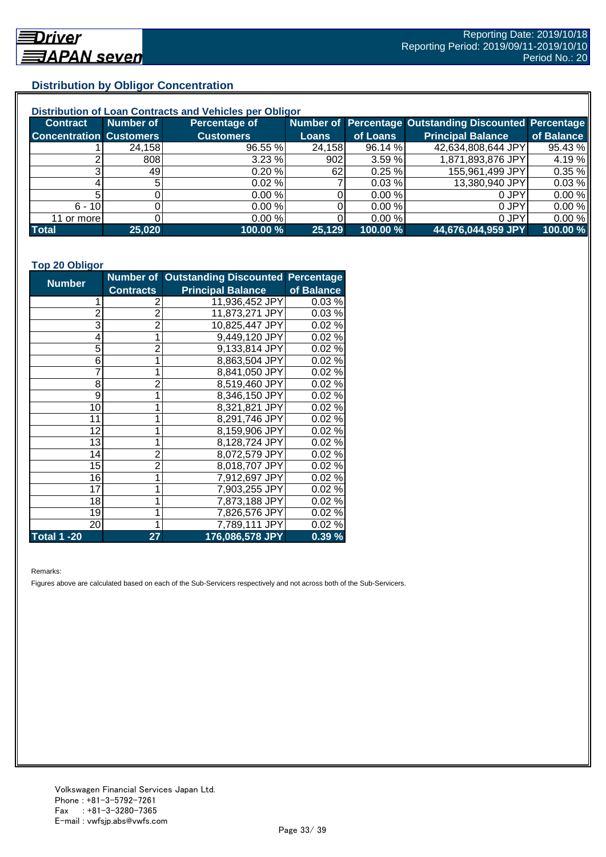## **Distribution by Obligor Concentration**

| Distribution of Loan Contracts and Vehicles per Obligor |           |                  |        |          |                                                        |            |  |  |
|---------------------------------------------------------|-----------|------------------|--------|----------|--------------------------------------------------------|------------|--|--|
| <b>Contract</b>                                         | Number of | Percentage of    |        |          | Number of Percentage Outstanding Discounted Percentage |            |  |  |
| <b>Concentration Customers</b>                          |           | <b>Customers</b> | Loans  | of Loans | <b>Principal Balance</b>                               | of Balance |  |  |
|                                                         | 24,158    | 96.55 %          | 24,158 | 96.14 %  | 42,634,808,644 JPY                                     | 95.43 %    |  |  |
|                                                         | 808       | 3.23%            | 902    | 3.59%    | 1,871,893,876 JPY                                      | 4.19%      |  |  |
| ົ                                                       | 49        | 0.20%            | 62I    | 0.25%    | 155,961,499 JPY                                        | 0.35%      |  |  |
|                                                         |           | $0.02 \%$        |        | 0.03%    | 13,380,940 JPY                                         | 0.03%      |  |  |
|                                                         |           | 0.00%            |        | 0.00%    | 0 JPY                                                  | 0.00%      |  |  |
| $6 - 10$                                                |           | 0.00%            |        | 0.00 %   | 0 JPY                                                  | 0.00%      |  |  |
| 11 or more                                              |           | 0.00%            |        | 0.00 %   | 0 JPY                                                  | 0.00%      |  |  |
| <b>Total</b>                                            | 25,020    | 100.00 %         | 25,129 | 100.00 % | 44,676,044,959 JPY                                     | 100.00 %   |  |  |

#### **Top 20 Obligor**

| <b>Number</b>      |                  | Number of Outstanding Discounted Percentage |            |
|--------------------|------------------|---------------------------------------------|------------|
|                    | <b>Contracts</b> | <b>Principal Balance</b>                    | of Balance |
| 1                  |                  | 11,936,452 JPY                              | 0.03%      |
| $\overline{c}$     | $\overline{c}$   | 11,873,271 JPY                              | 0.03%      |
| 3                  | $\overline{2}$   | 10,825,447 JPY                              | 0.02%      |
| 4                  | 1                | 9,449,120 JPY                               | 0.02%      |
| 5                  | $\overline{2}$   | 9,133,814 JPY                               | 0.02%      |
| 6                  | 1                | 8,863,504 JPY                               | 0.02%      |
| $\overline{7}$     | 1                | 8,841,050 JPY                               | 0.02%      |
| 8                  | $\overline{2}$   | 8,519,460 JPY                               | 0.02%      |
| 9                  | 1                | 8,346,150 JPY                               | 0.02%      |
| 10                 | 1                | 8,321,821 JPY                               | 0.02%      |
| 11                 | 1                | 8,291,746 JPY                               | 0.02%      |
| 12                 |                  | 8,159,906 JPY                               | 0.02%      |
| 13                 | 1                | 8,128,724 JPY                               | 0.02%      |
| 14                 | $\overline{2}$   | 8,072,579 JPY                               | 0.02%      |
| 15                 | $\overline{2}$   | 8,018,707 JPY                               | 0.02%      |
| 16                 | 1                | 7,912,697 JPY                               | 0.02%      |
| 17                 |                  | 7,903,255 JPY                               | $0.02\%$   |
| 18                 |                  | 7,873,188 JPY                               | 0.02%      |
| 19                 |                  | 7,826,576 JPY                               | 0.02%      |
| 20                 |                  | 7,789,111 JPY                               | 0.02%      |
| <b>Total 1 -20</b> | 27               | 176,086,578 JPY                             | 0.39%      |

Remarks:

Figures above are calculated based on each of the Sub-Servicers respectively and not across both of the Sub-Servicers.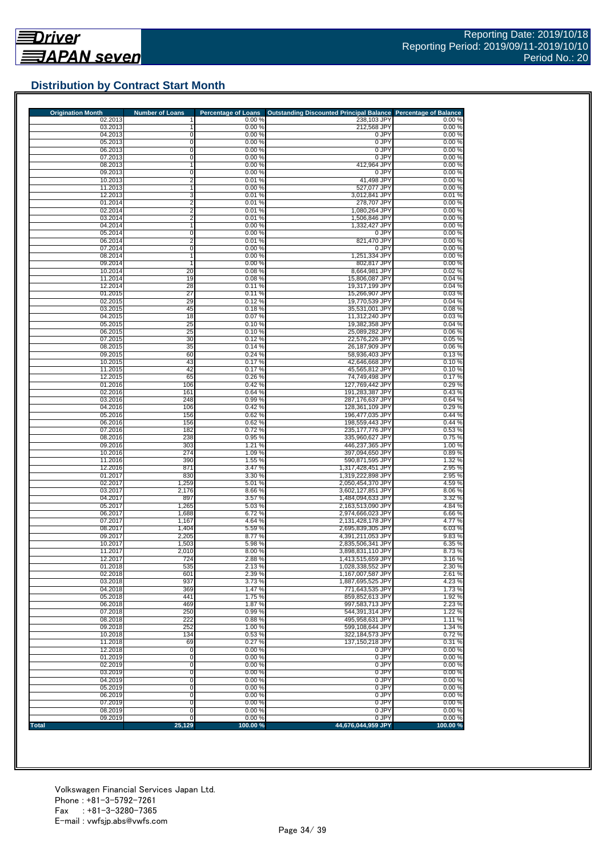## **Distribution by Contract Start Month**

| <b>Origination Month</b> | <b>Number of Loans</b>        | <b>Percentage of Loans</b> | Outstanding Discounted Principal Balance Percentage of Balance |                 |
|--------------------------|-------------------------------|----------------------------|----------------------------------------------------------------|-----------------|
| 02.2013                  |                               | 0.00%                      | 238,103 JPY                                                    | 0.00%           |
| 03.2013                  |                               | 0.00%                      | 212,568 JPY                                                    | 0.00%           |
| 04.2013<br>05.2013       | 0                             | 0.00%<br>0.00%             | 0 JPY<br>0 JPY                                                 | 0.00%<br>0.00%  |
| 06.2013                  | 0<br>0                        | 0.00%                      | 0 JPY                                                          | 0.00%           |
| 07.2013                  | 0                             | 0.00%                      | 0 JPY                                                          | 0.00%           |
| 08.2013                  |                               | 0.00%                      | 412,964 JPY                                                    | 0.00%           |
| 09.2013                  | 0                             | 0.00%                      | 0 JPY                                                          | 0.00%           |
| 10.2013                  |                               | 0.01%                      | 41,498 JPY                                                     | 0.00%           |
| 11.2013                  |                               | 0.00%                      | 527,077 JPY                                                    | 0.00%           |
| 12.2013                  | 3                             | 0.01%                      | 3,012,841 JPY                                                  | 0.01%           |
| 01.2014                  | $\overline{2}$                | 0.01%                      | 278,707 JPY                                                    | 0.00%           |
| 02.2014                  |                               | 0.01%                      | 1,080,264 JPY                                                  | 0.00%           |
| 03.2014                  | 2                             | 0.01%                      | 1,506,846 JPY                                                  | 0.00%           |
| 04.2014                  |                               | 0.00%                      | 1,332,427 JPY                                                  | 0.00%           |
| 05.2014                  | 0                             | 0.00%                      | 0 JPY                                                          | 0.00%           |
| 06.2014                  | 2                             | 0.01%                      | 821,470 JPY                                                    | 0.00%           |
| 07.2014                  | 0                             | 0.00%                      | 0 JPY                                                          | 0.00%           |
| 08.2014                  |                               | 0.00%                      | 1,251,334 JPY                                                  | 0.00%           |
| 09.2014                  |                               | 0.00%                      | 802,817 JPY                                                    | 0.00%           |
| 10.2014                  | 20                            | 0.08%                      | 8,664,981 JPY                                                  | 0.02%           |
| 11.2014                  | 19                            | 0.08%                      | 15,806,087 JPY                                                 | 0.04%           |
| 12.2014                  | 28                            | 0.11%                      | 19,317,199 JPY                                                 | 0.04%           |
| 01.2015                  | 27                            | 0.11%                      | 15,266,907 JPY                                                 | 0.03%           |
| 02.2015                  | 29                            | 0.12%                      | 19,770,539 JPY                                                 | 0.04%           |
| 03.2015                  | 45                            | 0.18%                      | 35,531,001 JPY                                                 | 0.08%           |
| 04.2015                  | 18<br>25                      | 0.07%<br>0.10%             | 11,312,240 JPY                                                 | 0.03%           |
| 05.2015<br>06.2015       | 25                            | 0.10%                      | 19,382,358 JPY<br>25,089,282 JPY                               | 0.04%<br>0.06%  |
| 07.2015                  | 30                            | 0.12%                      | 22,576,226 JPY                                                 | 0.05%           |
| 08.2015                  | 35                            | 0.14%                      | 26,187,909 JPY                                                 | 0.06%           |
| 09.2015                  | 60                            | 0.24%                      | 58,936,403 JPY                                                 | 0.13%           |
| 10.2015                  | 43                            | 0.17%                      | 42,646,668 JPY                                                 | 0.10%           |
| 11.2015                  | 42                            | 0.17%                      | 45,565,812 JPY                                                 | 0.10%           |
| 12.2015                  | 65                            | 0.26%                      | 74,749,498 JPY                                                 | 0.17%           |
| 01.2016                  | 106                           | 0.42%                      | 127,769,442 JPY                                                | 0.29%           |
| 02.2016                  | 161                           | 0.64%                      | 191,283,387 JPY                                                | 0.43%           |
| 03.2016                  | 248                           | 0.99%                      | 287,176,637 JPY                                                | 0.64%           |
| 04.2016                  | 106                           | 0.42%                      | 128,361,109 JPY                                                | 0.29%           |
| 05.2016                  | 156                           | 0.62%                      | 196,477,035 JPY                                                | 0.44 %          |
| 06.2016                  | 156                           | 0.62%                      | 198,559,443 JPY                                                | 0.44 %          |
| 07.2016                  | 182                           | 0.72%                      | 235,177,776 JPY                                                | 0.53%           |
| 08.2016                  | 238                           | 0.95%                      | 335,960,627 JPY                                                | 0.75%           |
| 09.2016                  | 303                           | 1.21 %                     | 446,237,365 JPY                                                | 1.00%           |
| 10.2016                  | 274                           | 1.09 %                     | 397,094,650 JPY                                                | 0.89%           |
| 11.2016                  | 390                           | 1.55 %                     | 590,871,595 JPY                                                | 1.32 %          |
| 12.2016                  | 871<br>830                    | 3.47 %                     | 1,317,428,451 JPY                                              | 2.95 %          |
| 01.2017<br>02.2017       | 1,259                         | 3.30 %<br>5.01%            | 1,319,222,898 JPY<br>2,050,454,370 JPY                         | 2.95 %<br>4.59% |
| 03.2017                  | 2,176                         | 8.66%                      | 3,602,127,851 JPY                                              | 8.06%           |
| 04.2017                  | 897                           | 3.57%                      | 1,484,094,633 JPY                                              | 3.32 %          |
| 05.2017                  | 1,265                         | 5.03%                      | 2,163,513,090 JPY                                              | 4.84 %          |
| 06.2017                  | 1,688                         | 6.72%                      | 2.974.666.023 JPY                                              | 6.66%           |
| 07.2017                  | 1,167                         | 4.64 %                     | 2,131,428,178 JPY                                              | 4.77%           |
| 08.2017                  | 1,404                         | 5.59%                      | 2,695,839,305 JPY                                              | 6.03%           |
| 09.2017                  | 2,205                         | 8.77 %                     | 4,391,211,053 JPY                                              | 9.83%           |
| 10.2017                  | 1,503                         | 5.98 %                     | 2,835,506,341 JPY                                              | 6.35 %          |
| 11.2017                  | 2,010                         | 8.00 %                     | 3,898,831,110 JPY                                              | 8.73%           |
| 12.2017                  | 724                           | 2.88%                      | 1,413,515,659 JPY                                              | 3.16%           |
| 01.2018                  | 535                           | $2.13\%$                   | 1,028,338,552 JPY                                              | 2.30 %          |
| 02.2018                  | 601                           | 2.39 %                     | 1,167,007,587 JPY                                              | 2.61 %          |
| 03.2018                  | 937                           | 3.73%                      | 1,887,695,525 JPY                                              | 4.23 %          |
| 04.2018                  | 369                           | 1.47%                      | 771,643,535 JPY                                                | 1.73%           |
| 05.2018                  | 441                           | 1.75%                      | 859,852,613 JPY                                                | 1.92 %          |
| 06.2018                  | 469                           | 1.87%                      | 997.583.713 JPY                                                | 2.23 %          |
| 07.2018                  | 250                           | 0.99%                      | 544,391,314 JPY                                                | 1.22 %          |
| 08.2018                  | 222                           | 0.88%                      | 495,958,631 JPY                                                | 1.11 %          |
| 09.2018                  | 252                           | 1.00%                      | 599,108,644 JPY                                                | 1.34 %          |
| 10.2018                  | 134                           | 0.53%                      | 322.184.573 JPY                                                | 0.72%           |
| 11.2018<br>12.2018       | 69                            | 0.27%                      | 137,150,218 JPY                                                | 0.31%           |
|                          | 0                             | 0.00%                      | 0 JPY                                                          | 0.00%           |
| 01.2019                  | 0                             | 0.00%                      | 0 JPY                                                          | 0.00%           |
| 02.2019                  | 0                             | 0.00 %<br>0.00%            | 0 JPY                                                          | 0.00%           |
| 03.2019                  | 0                             |                            | 0 JPY<br>0 JPY                                                 | 0.00%           |
| 04.2019<br>05.2019       | 0                             | 0.00%<br>0.00%             | 0 JPY                                                          | 0.00%<br>0.00%  |
| 06.2019                  | 0                             |                            |                                                                |                 |
| 07.2019                  | $\overline{0}$<br>$\mathbf 0$ | 0.00%                      | 0 JPY<br>0 JPY                                                 | 0.00%           |
|                          | 0                             | 0.00%<br>0.00%             | 0 JPY                                                          | 0.00%<br>0.00%  |
|                          |                               |                            |                                                                |                 |
| 08.2019<br>09.2019       |                               | 0.00%                      | 0 JPY                                                          | 0.00%           |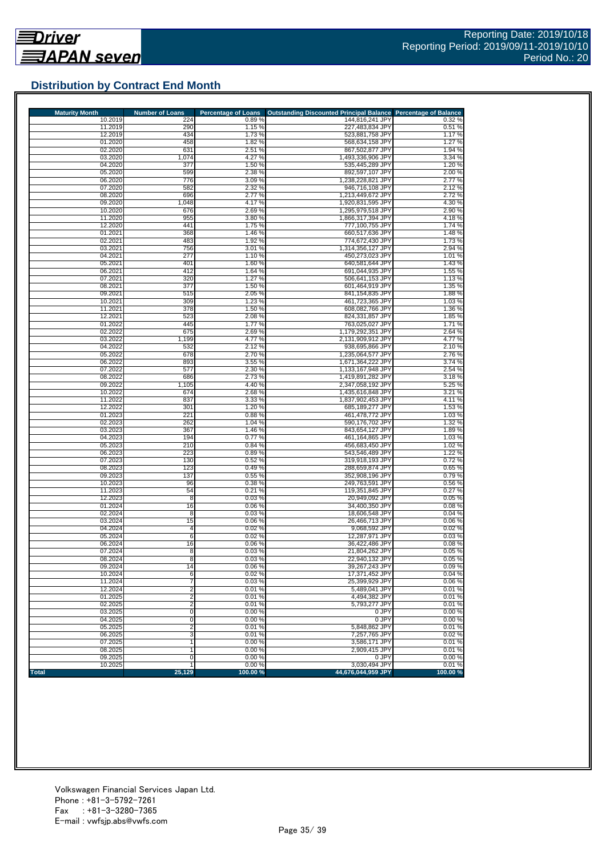## **Distribution by Contract End Month**

| <b>Maturity Month</b> |                    | <b>Number of Loans</b>  | <b>Percentage of Loans</b> | <b>Outstanding Discounted Principal Balance</b> | <b>Percentage of Balance</b>     |
|-----------------------|--------------------|-------------------------|----------------------------|-------------------------------------------------|----------------------------------|
|                       | 10.2019            | 224                     | 0.89%                      | 144,816,241 JPY                                 | 0.32%                            |
|                       | 11.2019            | 290                     | 1.15 %                     | 227,483,834 JPY                                 | 0.51%                            |
|                       | 12.2019<br>01.2020 | 434<br>458              | 1.73 %<br>1.82 %           | 523,881,758 JPY<br>568,634,158 JPY              | 1.17 %<br>1.27 %                 |
|                       | 02.2020            | 631                     | 2.51%                      | 867,502,877 JPY                                 | 1.94 %                           |
|                       | 03.2020            | 1,074                   | 4.27 %                     | 1,493,336,906 JPY                               | 3.34 %                           |
|                       | 04.2020            | 377                     | 1.50 %                     | 535,445,289 JPY                                 | 1.20%                            |
|                       | 05.2020            | 599                     | 2.38 %                     | 892,597,107 JPY                                 | 2.00 %                           |
|                       | 06.2020            | 776                     | 3.09%                      | 1,238,228,821 JPY                               | 2.77 %                           |
|                       | 07.2020            | 582                     | 2.32 %                     | 946,716,108 JPY                                 | 2.12 %                           |
|                       | 08.2020            | 696                     | 2.77 %                     | 1,213,449,672 JPY                               | 2.72 %                           |
|                       | 09.2020            | 1,048                   | 4.17%                      | 1,920,831,595 JPY                               | 4.30 %                           |
|                       | 10.2020            | 676<br>955              | 2.69%                      | 1,295,979,518 JPY                               | 2.90 %                           |
|                       | 11.2020<br>12.2020 | 441                     | 3.80 %<br>1.75 %           | 1,866,317,394 JPY<br>777,100,755 JPY            | 4.18%<br>1.74 %                  |
|                       | 01.2021            | 368                     | 1.46 %                     | 660,517,636 JPY                                 | 1.48 %                           |
|                       | 02.2021            | 483                     | 1.92 %                     | 774,672,430 JPY                                 | 1.73%                            |
|                       | 03.2021            | 756                     | 3.01 %                     | 1,314,356,127 JPY                               | 2.94 %                           |
|                       | 04.2021            | 277                     | 1.10 %                     | 450,273,023 JPY                                 | 1.01 %                           |
|                       | 05.2021            | 401                     | 1.60%                      | 640,581,644 JPY                                 | 1.43 %                           |
|                       | 06.2021            | 412                     | 1.64%                      | 691,044,935 JPY                                 | 1.55 %                           |
|                       | 07.2021            | 320                     | 1.27 %                     | 506,641,153 JPY                                 | 1.13 %                           |
|                       | 08.2021            | 377                     | 1.50 %                     | 601,464,919 JPY                                 | 1.35 %                           |
|                       | 09.2021<br>10.2021 | 515<br>309              | 2.05%<br>1.23 %            | 841,154,835 JPY<br>461,723,365 JPY              | 1.88%<br>1.03%                   |
|                       | 11.2021            | 378                     | 1.50 %                     | 608,082,766 JPY                                 | 1.36 %                           |
|                       | 12.2021            | 523                     | 2.08 %                     | 824,331,857 JPY                                 | 1.85 %                           |
|                       | 01.2022            | 445                     | 1.77 %                     | 763.025.027 JPY                                 | 1.71 %                           |
|                       | 02.2022            | 675                     | 2.69%                      | 1,179,292,351 JPY                               | 2.64 %                           |
|                       | 03.2022            | 1,199                   | 4.77 %                     | 2,131,909,912 JPY                               | 4.77 %                           |
|                       | 04.2022            | 532                     | 2.12%                      | 938,695,866 JPY                                 | 2.10%                            |
|                       | 05.2022            | 678                     | 2.70 %                     | 1,235,064,577 JPY                               | 2.76%                            |
|                       | 06.2022            | 893                     | 3.55 %                     | 1,671,364,222 JPY                               | 3.74 %                           |
|                       | 07.2022            | 577                     | 2.30 %                     | 1,133,167,948 JPY                               | 2.54 %                           |
|                       | 08.2022            | 686                     | 2.73 %                     | 1,419,891,282 JPY                               | 3.18%                            |
|                       | 09.2022<br>10.2022 | 1,105<br>674            | 4.40%<br>2.68%             | 2,347,058,192 JPY<br>1,435,616,848 JPY          | 5.25 %<br>3.21%                  |
|                       | 11.2022            | 837                     | 3.33%                      | 1,837,902,453 JPY                               | 4.11%                            |
|                       | 12.2022            | 301                     | 1.20%                      | 685,189,277 JPY                                 | 1.53 %                           |
|                       | 01.2023            | 221                     | 0.88%                      | 461,478,772 JPY                                 | 1.03%                            |
|                       | 02.2023            | 262                     | 1.04 %                     | 590,176,702 JPY                                 | 1.32 %                           |
|                       | 03.2023            | 367                     | 1.46 %                     | 843,654,127 JPY                                 | 1.89%                            |
|                       | 04.2023            | 194                     | 0.77%                      | 461,164,865 JPY                                 | 1.03 %                           |
|                       | 05.2023            | 210                     | 0.84%                      | 456,683,450 JPY                                 | 1.02%                            |
|                       | 06.2023            | 223                     | 0.89%                      | 543,546,489 JPY                                 | 1.22 %                           |
|                       | 07.2023            | 130                     | 0.52%                      | 319,918,193 JPY                                 | 0.72%                            |
|                       | 08.2023<br>09.2023 | 123<br>137              | 0.49%<br>0.55%             | 288,659,874 JPY<br>352,908,196 JPY              | 0.65%<br>0.79%                   |
|                       | 10.2023            | 96                      | 0.38%                      | 249,763,591 JPY                                 | 0.56%                            |
|                       | 11.2023            | 54                      | 0.21%                      | 119,351,845 JPY                                 | 0.27%                            |
|                       | 12.2023            | $\overline{8}$          | 0.03%                      | 20,949,092 JPY                                  | 0.05%                            |
|                       | 01.2024            | 16                      | 0.06%                      | 34,400,350 JPY                                  | 0.08%                            |
|                       | 02.2024            | 8                       | 0.03%                      | 18,606,548 JPY                                  | 0.04%                            |
|                       | 03.2024            | 15                      | 0.06%                      | 26,466,713 JPY                                  | 0.06%                            |
|                       | 04.2024            | 4                       | 0.02%                      | 9,068,592 JPY                                   | 0.02%                            |
|                       | 05.2024            | 6                       | 0.02%                      | 12,287,971 JPY                                  | 0.03%                            |
|                       | 06.2024            | 16                      | 0.06%<br>0.03%             | 36,422,486 JPY                                  | 0.08%                            |
|                       | 07.2024<br>08.2024 | 8<br>8                  | 0.03%                      | 21,804,262 JPY<br>22,940,132 JPY                | 0.05%<br>0.05%                   |
|                       | 09.2024            | 14                      | 0.06%                      | 39,267,243 JPY                                  | 0.09%                            |
|                       | 10.2024            | 6                       | 0.02%                      | 17,371,452 JPY                                  | 0.04%                            |
|                       | 11.2024            |                         | 0.03%                      | 25,399,929 JPY                                  | 0.06%                            |
|                       | 12.2024            | 2                       | 0.01%                      | 5,489,041 JPY                                   | 0.01%                            |
|                       | 01.2025            | $\overline{\mathbf{c}}$ | 0.01%                      | 4,494,382 JPY                                   | 0.01%                            |
|                       | 02.2025            | $\overline{\mathbf{c}}$ | 0.01%                      | 5,793,277 JPY                                   | 0.01%                            |
|                       | 03.2025            | 0                       | 0.00%                      | 0 JPY                                           | 0.00%                            |
|                       | 04.2025            | 0                       | 0.00%                      | 0 JPY                                           | 0.00%                            |
|                       | 05.2025            | $\overline{\mathbf{c}}$ | 0.01%                      | 5,848,862 JPY                                   | 0.01%                            |
|                       | 06.2025            | 3                       | 0.01%                      | 7,257,765 JPY                                   | 0.02%                            |
|                       |                    |                         |                            |                                                 |                                  |
|                       | 07.2025            |                         | 0.00%                      | 3,586,171 JPY                                   |                                  |
|                       | 08.2025            |                         | 0.00%                      | 2.909.415 JPY                                   |                                  |
|                       | 09.2025<br>10.2025 | 0<br>1                  | 0.00 %<br>0.00%            | 0 JPY<br>3.030.494 JPY                          | 0.01%<br>0.01%<br>0.00%<br>0.01% |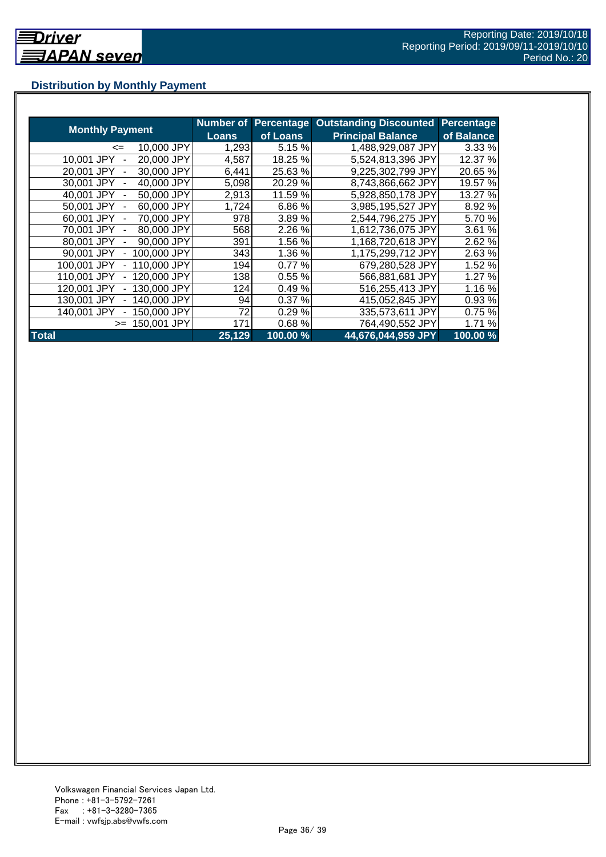## **Distribution by Monthly Payment**

|                            | <b>Number of</b> | Percentage | <b>Outstanding Discounted</b> | Percentage |
|----------------------------|------------------|------------|-------------------------------|------------|
| <b>Monthly Payment</b>     | <b>Loans</b>     | of Loans   | <b>Principal Balance</b>      | of Balance |
| 10,000 JPY<br>$\leq$       | 1,293            | 5.15%      | 1,488,929,087 JPY             | 3.33 %     |
| 20,000 JPY<br>10.001 JPY   | 4,587            | 18.25 %    | 5,524,813,396 JPY             | 12.37 %    |
| 30,000 JPY<br>20.001 JPY   | 6,441            | 25.63%     | 9,225,302,799 JPY             | 20.65 %    |
| 40,000 JPY<br>30.001 JPY   | 5,098            | 20.29 %    | 8,743,866,662 JPY             | 19.57 %    |
| 50,000 JPY<br>40.001 JPY   | 2,913            | 11.59 %    | 5,928,850,178 JPY             | 13.27 %    |
| 60,000 JPY<br>50,001 JPY   | 1,724            | 6.86%      | 3,985,195,527 JPY             | 8.92 %     |
| 70,000 JPY<br>60,001 JPY   | 978              | 3.89%      | 2,544,796,275 JPY             | 5.70%      |
| 80,000 JPY<br>70.001 JPY   | 568              | 2.26 %     | 1,612,736,075 JPY             | 3.61%      |
| 80,001 JPY<br>90,000 JPY   | 391              | 1.56 %     | 1,168,720,618 JPY             | 2.62%      |
| 100,000 JPY<br>90,001 JPY  | 343              | 1.36 %     | 1,175,299,712 JPY             | 2.63%      |
| 110,000 JPY<br>100,001 JPY | 194              | 0.77%      | 679,280,528 JPY               | 1.52 %     |
| 120,000 JPY<br>110,001 JPY | 138              | 0.55%      | 566,881,681 JPY               | 1.27 %     |
| 130,000 JPY<br>120.001 JPY | 124              | 0.49%      | 516,255,413 JPY               | 1.16%      |
| 140,000 JPY<br>130.001 JPY | 94               | 0.37%      | 415,052,845 JPY               | 0.93%      |
| 140,001 JPY<br>50,000 JPY  | 72               | 0.29%      | 335,573,611 JPY               | 0.75%      |
| 150,001 JPY<br>$>=$        | 171              | 0.68%      | 764,490,552 JPY               | 1.71%      |
| <b>Total</b>               | 25,129           | 100.00 %   | 44,676,044,959 JPY            | 100.00%    |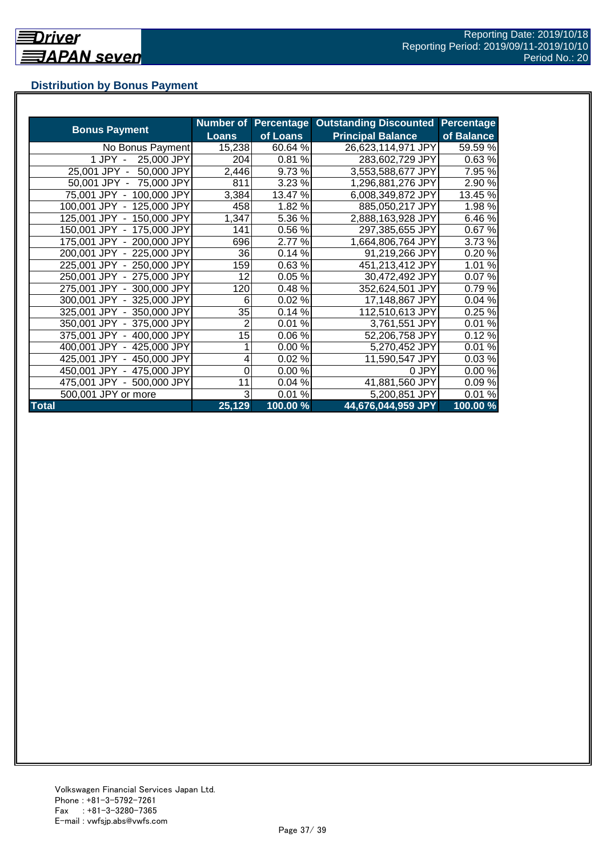## **Distribution by Bonus Payment**

|                            |              |          | Number of Percentage Outstanding Discounted | <b>Percentage</b> |
|----------------------------|--------------|----------|---------------------------------------------|-------------------|
| <b>Bonus Payment</b>       | <b>Loans</b> | of Loans | <b>Principal Balance</b>                    | of Balance        |
| No Bonus Payment           | 15,238       | 60.64 %  | 26,623,114,971 JPY                          | 59.59 %           |
| 25,000 JPY<br>1 JPY -      | 204          | 0.81%    | 283,602,729 JPY                             | 0.63%             |
| 50,000 JPY<br>25,001 JPY - | 2,446        | 9.73%    | 3,553,588,677 JPY                           | 7.95 %            |
| 50,001 JPY - 75,000 JPY    | 811          | 3.23 %   | 1,296,881,276 JPY                           | 2.90 %            |
| 75,001 JPY - 100,000 JPY   | 3,384        | 13.47 %  | 6,008,349,872 JPY                           | 13.45 %           |
| 100,001 JPY - 125,000 JPY  | 458          | 1.82 %   | 885,050,217 JPY                             | 1.98%             |
| 125,001 JPY - 150,000 JPY  | 1,347        | 5.36 %   | 2,888,163,928 JPY                           | 6.46%             |
| 150,001 JPY - 175,000 JPY  | 141          | 0.56 %   | 297,385,655 JPY                             | 0.67%             |
| 175,001 JPY - 200,000 JPY  | 6961         | 2.77 %   | 1,664,806,764 JPY                           | 3.73 %            |
| 200,001 JPY - 225,000 JPY  | 36           | 0.14%    | 91,219,266 JPY                              | 0.20%             |
| 225,001 JPY - 250,000 JPY  | 159          | 0.63%    | 451,213,412 JPY                             | 1.01%             |
| 250,001 JPY - 275,000 JPY  | 12           | 0.05%    | 30,472,492 JPY                              | 0.07%             |
| 275,001 JPY - 300,000 JPY  | 120          | 0.48%    | 352,624,501 JPY                             | 0.79%             |
| 300,001 JPY - 325,000 JPY  | 6            | 0.02%    | 17,148,867 JPY                              | 0.04%             |
| 325,001 JPY - 350,000 JPY  | 35           | 0.14%    | 112,510,613 JPY                             | 0.25%             |
| 350,001 JPY - 375,000 JPY  | 2            | 0.01%    | 3,761,551 JPY                               | 0.01%             |
| 375,001 JPY - 400,000 JPY  | 15           | 0.06%    | 52,206,758 JPY                              | 0.12%             |
| 400,001 JPY - 425,000 JPY  |              | 0.00%    | 5,270,452 JPY                               | 0.01%             |
| 425,001 JPY - 450,000 JPY  |              | 0.02%    | 11,590,547 JPY                              | 0.03%             |
| 450,001 JPY - 475,000 JPY  |              | 0.00%    | 0 JPY                                       | 0.00%             |
| 475,001 JPY - 500,000 JPY  | 11           | 0.04%    | 41,881,560 JPY                              | 0.09%             |
| 500,001 JPY or more        | 3            | 0.01%    | 5,200,851 JPY                               | 0.01%             |
| <b>Total</b>               | 25,129       | 100.00 % | 44,676,044,959 JPY                          | 100.00 %          |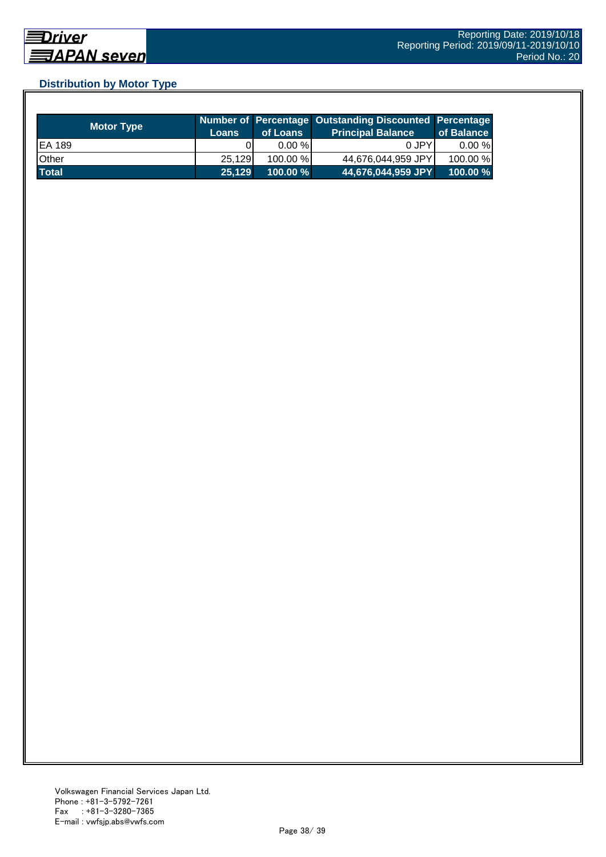## **Distribution by Motor Type**

| <b>Motor Type</b> | <b>Loans</b> | of Loans    | Number of Percentage Outstanding Discounted Percentage<br>Principal Balance <sup>'</sup> | of Balance |
|-------------------|--------------|-------------|------------------------------------------------------------------------------------------|------------|
| EA 189            |              | $0.00 \%$   | 0 JPY                                                                                    | $0.00 \%$  |
| Other             | 25.129       | $100.00\%$  | 44,676,044,959 JPY                                                                       | 100.00 %   |
| <b>Total</b>      | 25,129       | $100.00 \%$ | 44,676,044,959 JPY                                                                       | 100.00%    |